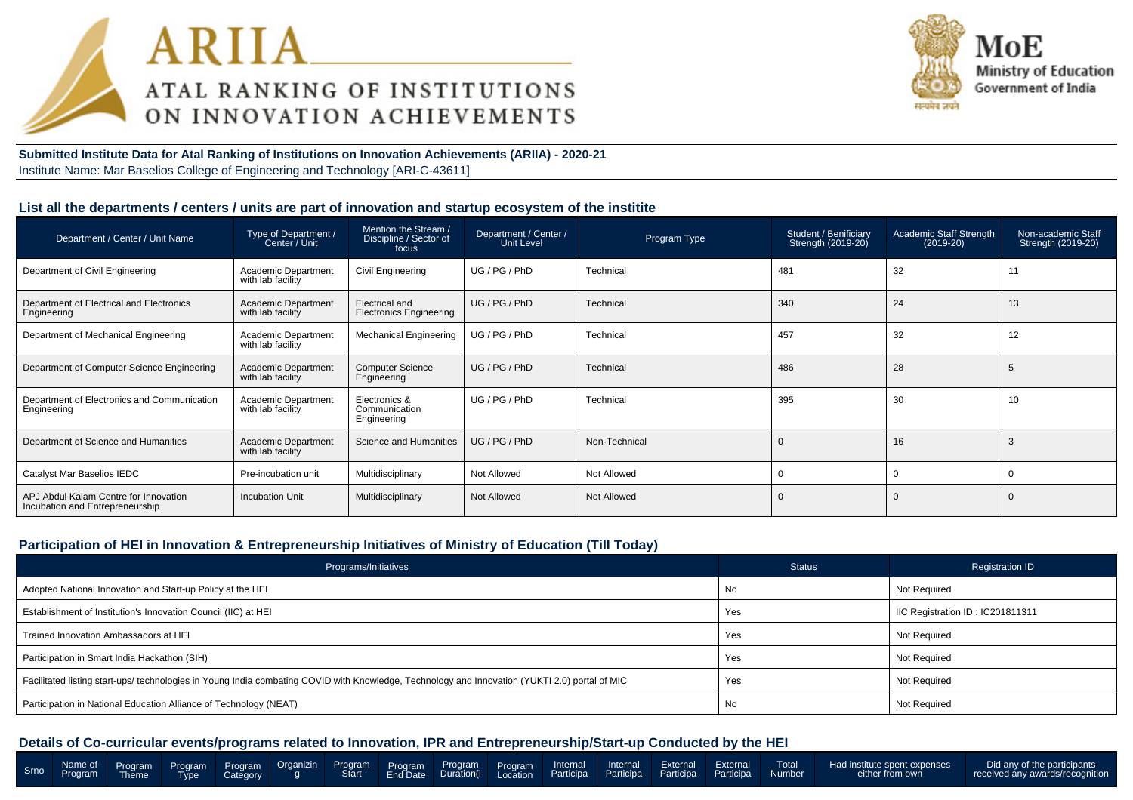



**Submitted Institute Data for Atal Ranking of Institutions on Innovation Achievements (ARIIA) - 2020-21**Institute Name: Mar Baselios College of Engineering and Technology [ARI-C-43611]

#### **List all the departments / centers / units are part of innovation and startup ecosystem of the institite**

| Department / Center / Unit Name                                          | Type of Department /<br>Center / Unit           | Mention the Stream /<br>Discipline / Sector of<br>focus | Department / Center /<br>Unit Level | Program Type  | Student / Benificiary<br>Strength (2019-20) | Academic Staff Strength<br>$(2019-20)$ | Non-academic Staff<br>Strength (2019-20) |
|--------------------------------------------------------------------------|-------------------------------------------------|---------------------------------------------------------|-------------------------------------|---------------|---------------------------------------------|----------------------------------------|------------------------------------------|
| Department of Civil Engineering                                          | <b>Academic Department</b><br>with lab facility | Civil Engineering                                       | UG/PG/PhD                           | Technical     | 481                                         | 32                                     | 11                                       |
| Department of Electrical and Electronics<br>Engineering                  | <b>Academic Department</b><br>with lab facility | Electrical and<br><b>Electronics Engineering</b>        | UG/PG/PhD                           | Technical     | 340                                         | 24                                     | 13                                       |
| Department of Mechanical Engineering                                     | Academic Department<br>with lab facility        | <b>Mechanical Engineering</b>                           | UG / PG / PhD                       | Technical     | 457                                         | 32                                     | 12                                       |
| Department of Computer Science Engineering                               | <b>Academic Department</b><br>with lab facility | <b>Computer Science</b><br>Engineering                  | UG/PG/PhD                           | Technical     | 486                                         | 28                                     |                                          |
| Department of Electronics and Communication<br>Engineering               | Academic Department<br>with lab facility        | Electronics &<br>Communication<br>Engineering           | UG / PG / PhD                       | Technical     | 395                                         | 30                                     | 10                                       |
| Department of Science and Humanities                                     | Academic Department<br>with lab facility        | Science and Humanities                                  | UG / PG / PhD                       | Non-Technical | $\mathbf 0$                                 | 16                                     |                                          |
| Catalyst Mar Baselios IEDC                                               | Pre-incubation unit                             | Multidisciplinary                                       | Not Allowed                         | Not Allowed   | O                                           |                                        |                                          |
| APJ Abdul Kalam Centre for Innovation<br>Incubation and Entrepreneurship | <b>Incubation Unit</b>                          | Multidisciplinary                                       | Not Allowed                         | Not Allowed   | $\overline{0}$                              |                                        |                                          |

#### **Participation of HEI in Innovation & Entrepreneurship Initiatives of Ministry of Education (Till Today)**

| Programs/Initiatives                                                                                                                           | <b>Status</b> | <b>Registration ID</b>           |
|------------------------------------------------------------------------------------------------------------------------------------------------|---------------|----------------------------------|
| Adopted National Innovation and Start-up Policy at the HEI                                                                                     | No            | Not Required                     |
| Establishment of Institution's Innovation Council (IIC) at HEI                                                                                 | Yes           | IIC Registration ID: IC201811311 |
| Trained Innovation Ambassadors at HEI                                                                                                          | Yes           | Not Required                     |
| Participation in Smart India Hackathon (SIH)                                                                                                   | Yes           | Not Required                     |
| Facilitated listing start-ups/ technologies in Young India combating COVID with Knowledge, Technology and Innovation (YUKTI 2.0) portal of MIC | Yes           | Not Required                     |
| Participation in National Education Alliance of Technology (NEAT)                                                                              | No            | Not Required                     |

|  |  |  |  |  |  |  | Smo Name of Program Program Program Organizin Program Program Program Internal Internal External External Total Hadinstitute spent expenses  <br>Start EndDate Duration(i Location Participa Participa Participa Participa Partic | Did any of the participants<br>received any awards/recognition |
|--|--|--|--|--|--|--|-----------------------------------------------------------------------------------------------------------------------------------------------------------------------------------------------------------------------------------|----------------------------------------------------------------|
|  |  |  |  |  |  |  |                                                                                                                                                                                                                                   |                                                                |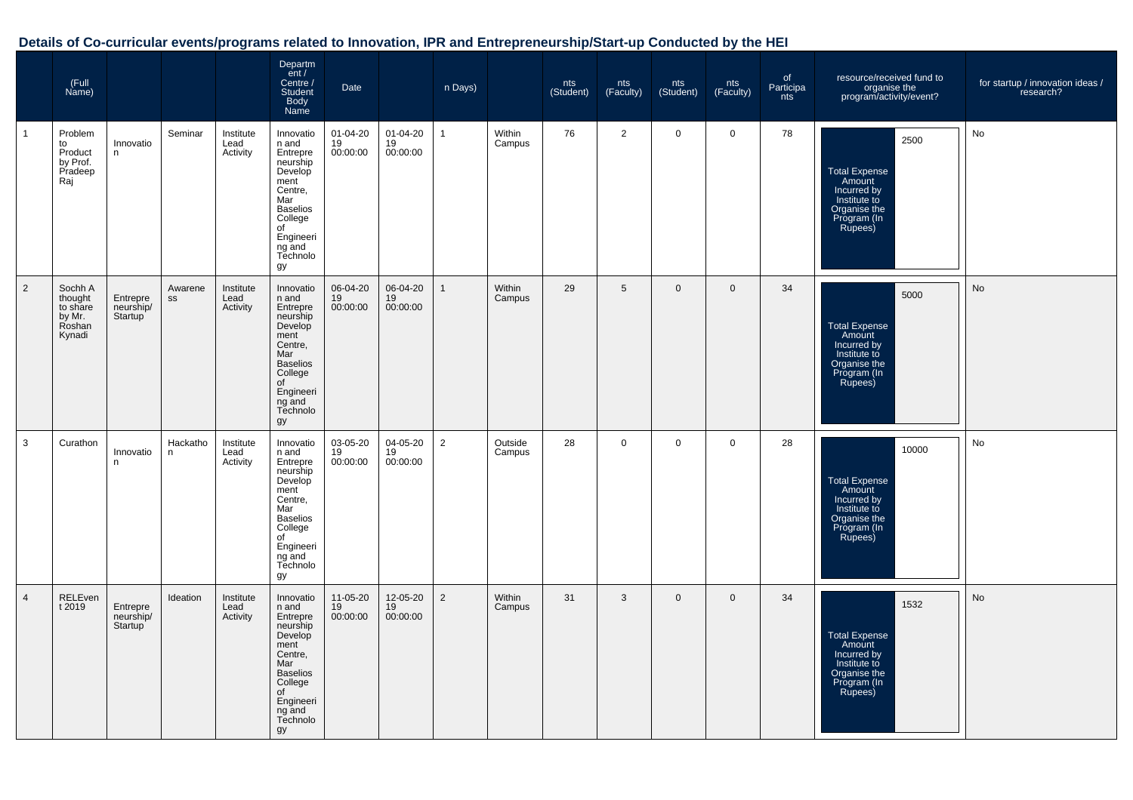|                | (Full<br>Name)                                               |                                  |               |                               | Departm<br>ent /<br>Centre /<br>Student<br><b>Body</b><br>Name                                                                                               | Date                             |                            | n Days)        |                   | nts<br>(Student) | nts<br>(Faculty) | nts<br>(Student) | nts<br>(Faculty) | of<br>Participa<br>nts | resource/received fund to<br>organise the<br>program/activity/event?                                             | for startup / innovation ideas /<br>research? |
|----------------|--------------------------------------------------------------|----------------------------------|---------------|-------------------------------|--------------------------------------------------------------------------------------------------------------------------------------------------------------|----------------------------------|----------------------------|----------------|-------------------|------------------|------------------|------------------|------------------|------------------------|------------------------------------------------------------------------------------------------------------------|-----------------------------------------------|
| $\mathbf{1}$   | Problem<br>to<br>Product<br>by Prof.<br>Pradeep<br>Raj       | Innovatio<br>n                   | Seminar       | Institute<br>Lead<br>Activity | Innovatio<br>n and<br>Entrepre<br>neurship<br>Develop<br>ment<br>Centre,<br>Mar<br><b>Baselios</b><br>College<br>of<br>Engineeri<br>ng and<br>Technolo<br>gy | $01 - 04 - 20$<br>19<br>00:00:00 | 01-04-20<br>19<br>00:00:00 | $\mathbf{1}$   | Within<br>Campus  | 76               | $\overline{2}$   | $\mathbf 0$      | $\mathbf 0$      | 78                     | 2500<br><b>Total Expense</b><br>Amount<br>Incurred by<br>Institute to<br>Organise the<br>Program (In<br>Rupees)  | No                                            |
| $\overline{2}$ | Sochh A<br>thought<br>to share<br>by Mr.<br>Roshan<br>Kynadi | Entrepre<br>neurship/<br>Startup | Awarene<br>SS | Institute<br>Lead<br>Activity | Innovatio<br>n and<br>Entrepre<br>neurship<br>Develop<br>ment<br>Centre,<br>Mar<br><b>Baselios</b><br>College<br>of<br>Engineeri<br>ng and<br>Technolo<br>gy | 06-04-20<br>19<br>00:00:00       | 06-04-20<br>19<br>00:00:00 | $\overline{1}$ | Within<br>Campus  | 29               | 5                | $\mathbf{0}$     | $\mathbf{0}$     | 34                     | 5000<br><b>Total Expense</b><br>Amount<br>Incurred by<br>Institute to<br>Organise the<br>Program (In<br>Rupees)  | No                                            |
| 3              | Curathon                                                     | Innovatio<br>n                   | Hackatho<br>n | Institute<br>Lead<br>Activity | Innovatio<br>n and<br>Entrepre<br>neurship<br>Develop<br>ment<br>Centre,<br>Mar<br><b>Baselios</b><br>College<br>of<br>Engineeri<br>ng and<br>Technolo<br>gy | 03-05-20<br>19<br>00:00:00       | 04-05-20<br>19<br>00:00:00 | $\overline{2}$ | Outside<br>Campus | 28               | $\mathbf 0$      | $\mathbf 0$      | 0                | 28                     | 10000<br><b>Total Expense</b><br>Amount<br>Incurred by<br>Institute to<br>Organise the<br>Program (In<br>Rupees) | No                                            |
| $\overline{4}$ | RELEven<br>t 2019                                            | Entrepre<br>neurship/<br>Startup | Ideation      | Institute<br>Lead<br>Activity | Innovatio<br>n and<br>Entrepre<br>neurship<br>Develop<br>ment<br>Centre.<br>Mar<br><b>Baselios</b><br>College<br>of<br>Engineeri<br>ng and<br>Technolo<br>gy | 11-05-20<br>19<br>00:00:00       | 12-05-20<br>19<br>00:00:00 | $\overline{2}$ | Within<br>Campus  | 31               | 3                | $\mathbf 0$      | $\mathbf 0$      | 34                     | 1532<br><b>Total Expense</b><br>Amount<br>Incurred by<br>Institute to<br>Organise the<br>Program (In<br>Rupees)  | No                                            |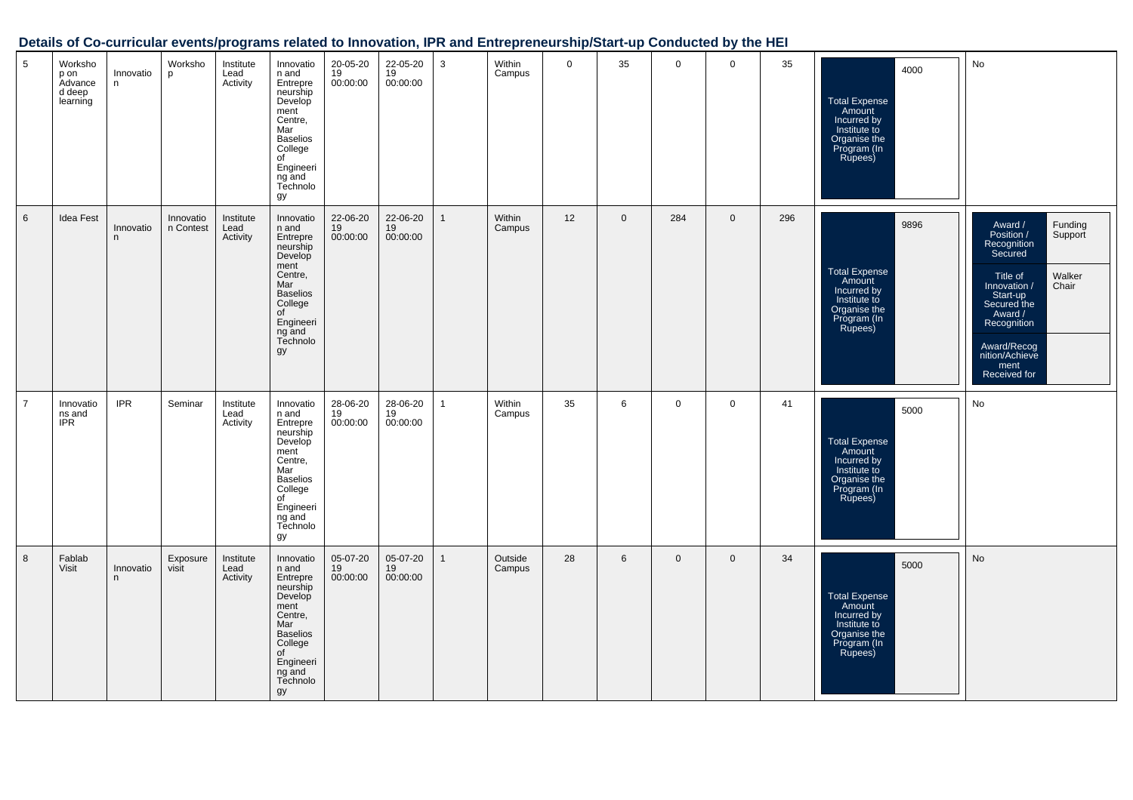| 5              | Worksho<br>p on<br>Advance<br>d deep<br>learning | Innovatio<br>n | Worksho<br>p           | Institute<br>Lead<br>Activity | Innovatio<br>n and<br>Entrepre<br>neurship<br>Develop<br>ment<br>Centre,<br>Mar<br><b>Baselios</b><br>College<br>of<br>Engineeri<br>ng and<br>Technolo<br>gу | 20-05-20<br>19<br>00:00:00              | 22-05-20<br>$\overline{19}$<br>00:00:00 | 3            | Within<br>Campus  | $\mathbf 0$ | 35          | $\mathbf 0$    | $\mathbf 0$  | 35  | 4000<br>Total Expense<br>Amount<br>Incurred by<br>Institute to<br>Organise the<br>Program (In<br>Rupees)        | No                                                                                                                                                                                                                                 |
|----------------|--------------------------------------------------|----------------|------------------------|-------------------------------|--------------------------------------------------------------------------------------------------------------------------------------------------------------|-----------------------------------------|-----------------------------------------|--------------|-------------------|-------------|-------------|----------------|--------------|-----|-----------------------------------------------------------------------------------------------------------------|------------------------------------------------------------------------------------------------------------------------------------------------------------------------------------------------------------------------------------|
| 6              | Idea Fest                                        | Innovatio<br>n | Innovatio<br>n Contest | Institute<br>Lead<br>Activity | Innovatio<br>n and<br>Entrepre<br>neurship<br>Develop<br>ment<br>Centre,<br>Mar<br><b>Baselios</b><br>College<br>of<br>Engineeri<br>ng and<br>Technolo<br>gy | 22-06-20<br>$\frac{19}{19}$<br>00:00:00 | 22-06-20<br>$\overline{19}$<br>00:00:00 | $\mathbf{1}$ | Within<br>Campus  | 12          | $\mathbf 0$ | 284            | $\mathbf 0$  | 296 | 9896<br>Total Expense<br>Amount<br>Incurred by<br>Institute to<br>Organise the<br>Program (In<br>Rupees)        | Funding<br>Support<br>Award /<br>Position /<br>Recognition<br>Secured<br>Walker<br>Title of<br>Chair<br>Innovation /<br>Start-up<br>Secured the<br>Award /<br>Recognition<br>Award/Recog<br>nition/Achieve<br>ment<br>Received for |
| $\overline{7}$ | Innovatio<br>ns and<br><b>IPR</b>                | <b>IPR</b>     | Seminar                | Institute<br>Lead<br>Activity | Innovatio<br>n and<br>Entrepre<br>neurship<br>Develop<br>ment<br>Centre,<br>Mar<br><b>Baselios</b><br>College<br>of<br>Engineeri<br>ng and<br>Technolo<br>gу | 28-06-20<br>19<br>00:00:00              | 28-06-20<br>19<br>00:00:00              | 1            | Within<br>Campus  | 35          | 6           | $\overline{0}$ | $\mathbf 0$  | 41  | 5000<br><b>Total Expense</b><br>Amount<br>Incurred by<br>Institute to<br>Organise the<br>Program (In<br>Rupees) | No                                                                                                                                                                                                                                 |
| 8              | Fablab<br><b>Visit</b>                           | Innovatio<br>n | Exposure<br>visit      | Institute<br>Lead<br>Activity | Innovatio<br>n and<br>Entrepre<br>neurship<br>Develop<br>ment<br>Centre,<br>Mar<br><b>Baselios</b><br>College<br>of<br>Engineeri<br>ng and<br>Technolo<br>gу | 05-07-20<br>19<br>00:00:00              | 05-07-20<br>19<br>00:00:00              | $\mathbf{1}$ | Outside<br>Campus | 28          | 6           | $\mathbf{0}$   | $\mathbf{0}$ | 34  | 5000<br><b>Total Expense</b><br>Amount<br>Incurred by<br>Institute to<br>Organise the<br>Program (In<br>Rupees) | No                                                                                                                                                                                                                                 |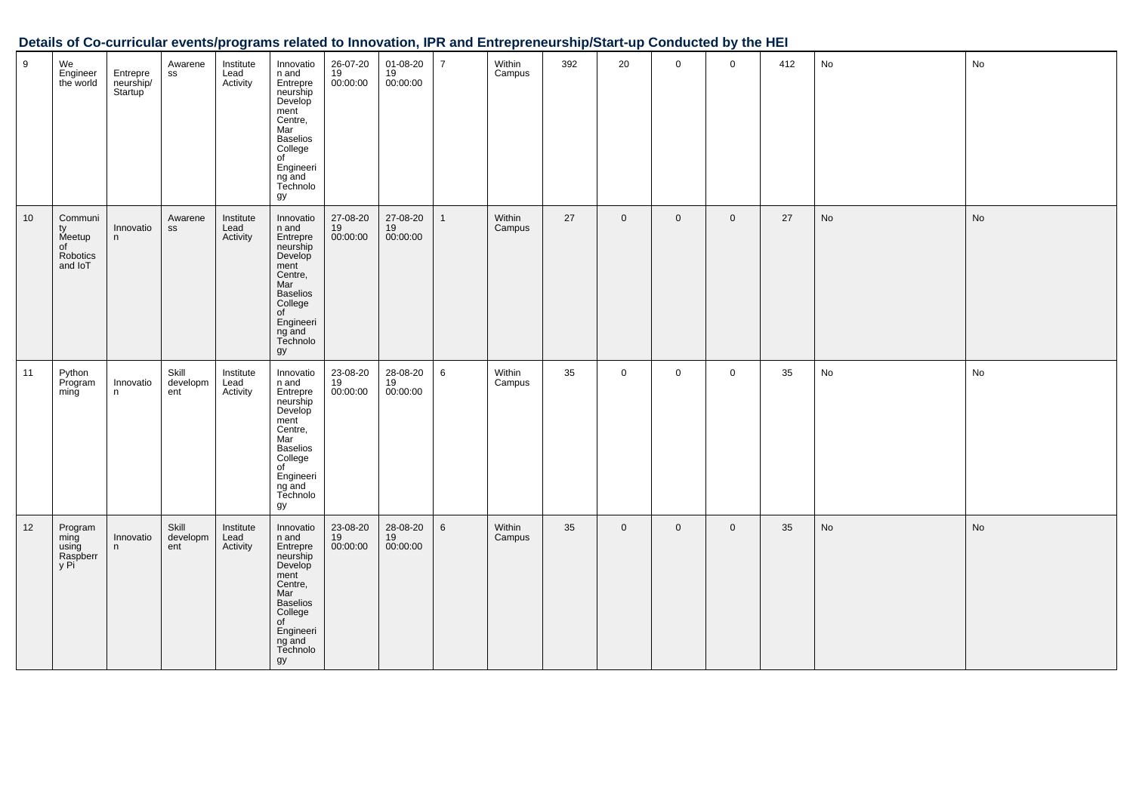| 9  | We<br>Engineer<br>the world                          | Entrepre<br>neurship/<br>Startup | Awarene<br>SS            | Institute<br>Lead<br>Activity | Innovatio<br>n and<br>Entrepre<br>neurship<br>Develop<br>ment<br>Centre,<br>Mar<br><b>Baselios</b><br>College<br>of<br>Engineeri<br>ng and<br>Technolo<br>gy | 26-07-20<br>19<br>00:00:00 | 01-08-20<br>$19$<br>00:00:00 | $\overline{7}$ | Within<br>Campus | 392 | 20             | $\mathbf 0$ | $\mathbf 0$ | 412 | No | No            |
|----|------------------------------------------------------|----------------------------------|--------------------------|-------------------------------|--------------------------------------------------------------------------------------------------------------------------------------------------------------|----------------------------|------------------------------|----------------|------------------|-----|----------------|-------------|-------------|-----|----|---------------|
| 10 | Communi<br>ty<br>Meetup<br>of<br>Robotics<br>and IoT | Innovatio<br>n                   | Awarene<br>${\tt SS}$    | Institute<br>Lead<br>Activity | Innovatio<br>n and<br>Entrepre<br>neurship<br>Develop<br>ment<br>Centre,<br>Mar<br><b>Baselios</b><br>College<br>of<br>Engineeri<br>ng and<br>Technolo<br>gy | 27-08-20<br>19<br>00:00:00 | 27-08-20<br>19<br>00:00:00   | 1              | Within<br>Campus | 27  | $\mathbf 0$    | $\mathbf 0$ | $\mathbf 0$ | 27  | No | No            |
| 11 | Python<br>Program<br>ming                            | Innovatio<br>n                   | Skill<br>developm<br>ent | Institute<br>Lead<br>Activity | Innovatio<br>n and<br>Entrepre<br>neurship<br>Develop<br>ment<br>Centre,<br>Mar<br><b>Baselios</b><br>College<br>of<br>Engineeri<br>ng and<br>Technolo<br>gy | 23-08-20<br>19<br>00:00:00 | 28-08-20<br>19<br>00:00:00   | 6              | Within<br>Campus | 35  | $\mathbf 0$    | $\mathbf 0$ | $\mathbf 0$ | 35  | No | No            |
| 12 | Program<br>ming<br>using<br>Raspberr<br>y Pi         | Innovatio<br>n                   | Skill<br>developm<br>ent | Institute<br>Lead<br>Activity | Innovatio<br>n and<br>Entrepre<br>neurship<br>Develop<br>ment<br>Centre,<br>Mar<br><b>Baselios</b><br>College<br>of<br>Engineeri<br>ng and<br>Technolo<br>gy | 23-08-20<br>19<br>00:00:00 | 28-08-20<br>19<br>00:00:00   | 6              | Within<br>Campus | 35  | $\overline{0}$ | $\mathbf 0$ | $\mathbf 0$ | 35  | No | $\mathsf{No}$ |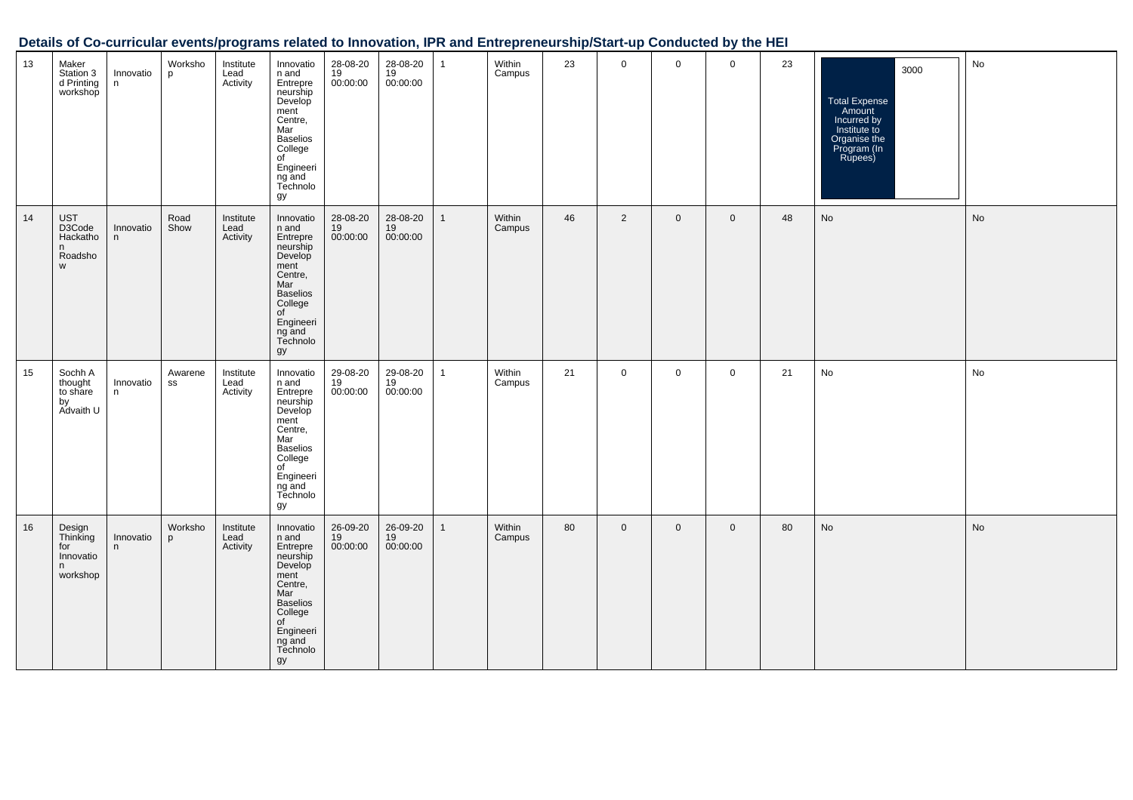| 13 | Maker<br>Station 3<br>d Printing<br>workshop            | Innovatio<br>n | Worksho<br>p  | Institute<br>Lead<br>Activity | Innovatio<br>n and<br>Entrepre<br>neurship<br>Develop<br>ment<br>Centre,<br>Mar<br><b>Baselios</b><br>College<br>of<br>Engineeri<br>ng and<br>Technolo<br>gy   | 28-08-20<br>19<br>00:00:00 | 28-08-20<br>19<br>00:00:00 | $\mathbf{1}$ | Within<br>Campus | 23 | $\mathbf 0$    | $\mathbf 0$    | $\mathbf 0$ | 23 | 3000<br>Total Expense<br>Amount<br>Incurred by<br>Institute to<br>Organise the<br>Program (In<br>Rupees) | No |
|----|---------------------------------------------------------|----------------|---------------|-------------------------------|----------------------------------------------------------------------------------------------------------------------------------------------------------------|----------------------------|----------------------------|--------------|------------------|----|----------------|----------------|-------------|----|----------------------------------------------------------------------------------------------------------|----|
| 14 | <b>UST</b><br>D3Code<br>Hackatho<br>n.<br>Roadsho<br>W  | Innovatio<br>n | Road<br>Show  | Institute<br>Lead<br>Activity | Innovatio<br>$n$ and<br>Entrepre<br>neurship<br>Develop<br>ment<br>Centre,<br>Mar<br><b>Baselios</b><br>College<br>of<br>Engineeri<br>ng and<br>Technolo<br>gy | 28-08-20<br>19<br>00:00:00 | 28-08-20<br>19<br>00:00:00 | $\mathbf{1}$ | Within<br>Campus | 46 | $\overline{2}$ | $\overline{0}$ | $\mathbf 0$ | 48 | No                                                                                                       | No |
| 15 | Sochh A<br>thought<br>to share<br>by<br>Advaith U       | Innovatio<br>n | Awarene<br>SS | Institute<br>Lead<br>Activity | Innovatio<br>n and<br>Entrepre<br>neurship<br>Develop<br>ment<br>Centre,<br>Mar<br><b>Baselios</b><br>College<br>of<br>Engineeri<br>ng and<br>Technolo<br>gy   | 29-08-20<br>19<br>00:00:00 | 29-08-20<br>19<br>00:00:00 | $\mathbf{1}$ | Within<br>Campus | 21 | $\mathbf 0$    | $\mathbf 0$    | $\mathsf 0$ | 21 | No                                                                                                       | No |
| 16 | Design<br>Thinking<br>for<br>Innovatio<br>n<br>workshop | Innovatio<br>n | Worksho<br>p  | Institute<br>Lead<br>Activity | Innovatio<br>n and<br>Entrepre<br>neurship<br>Develop<br>ment<br>Centre,<br>Mar<br><b>Baselios</b><br>College<br>of<br>Engineeri<br>ng and<br>Technolo<br>gy   | 26-09-20<br>19<br>00:00:00 | 26-09-20<br>19<br>00:00:00 | $\mathbf{1}$ | Within<br>Campus | 80 | $\mathbf 0$    | $\mathbf 0$    | $\mathsf 0$ | 80 | No                                                                                                       | No |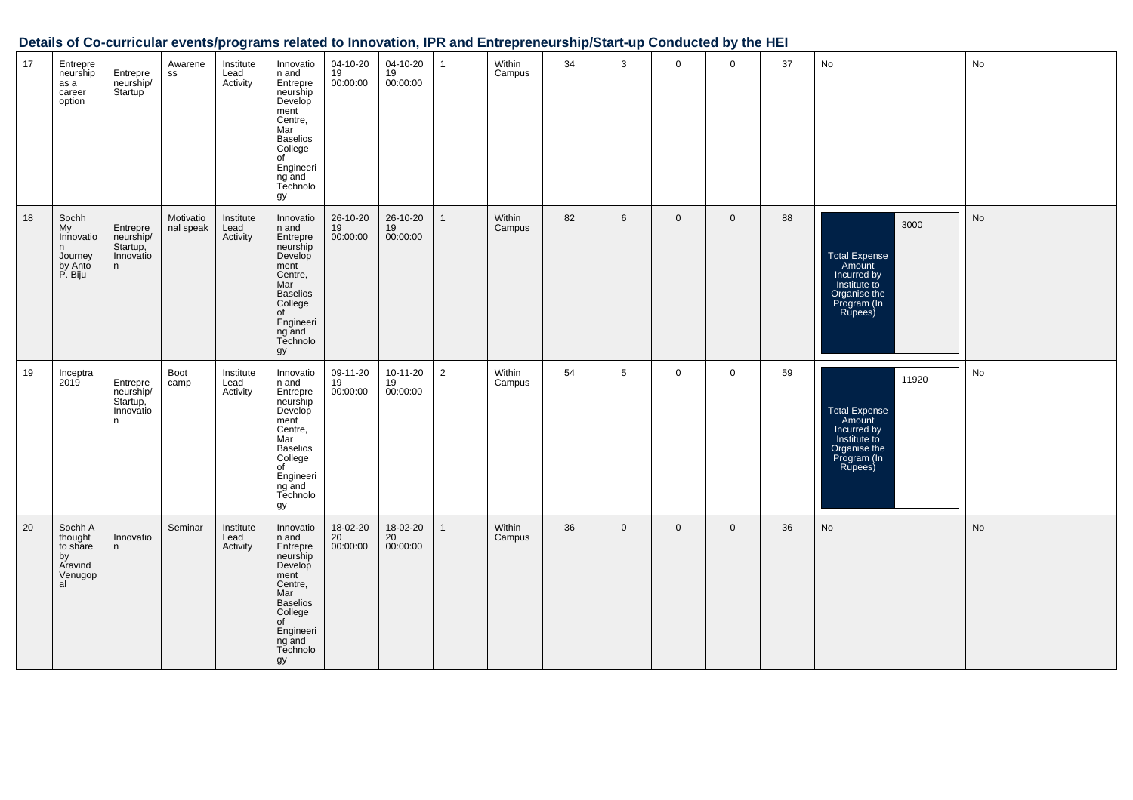| 17 | Entrepre<br>neurship<br>as a<br>career<br>option                 | Entrepre<br>neurship/<br>Startup <sup>'</sup>        | Awarene<br>SS          | Institute<br>Lead<br>Activity | Innovatio<br>n and<br>Entrepre<br>neurship<br>Develop<br>ment<br>Centre,<br>Mar<br><b>Baselios</b><br>College<br>of<br>Engineeri<br>ng and<br>Technolo<br>gy | 04-10-20<br>19<br>00:00:00              | 04-10-20<br>19<br>00:00:00 | $\mathbf{1}$   | Within<br>Campus | 34 | 3              | $\mathbf 0$ | $\mathbf 0$ | 37 | No                                                                                                        | No |
|----|------------------------------------------------------------------|------------------------------------------------------|------------------------|-------------------------------|--------------------------------------------------------------------------------------------------------------------------------------------------------------|-----------------------------------------|----------------------------|----------------|------------------|----|----------------|-------------|-------------|----|-----------------------------------------------------------------------------------------------------------|----|
| 18 | Sochh<br>My<br>Innovatio<br>n.<br>Journey<br>by Anto<br>P. Biju  | Entrepre<br>neurship/<br>Startup,<br>Innovatio<br>n  | Motivatio<br>nal speak | Institute<br>Lead<br>Activity | Innovatio<br>n and<br>Entrepre<br>neurship<br>Develop<br>ment<br>Centre,<br>Mar<br><b>Baselios</b><br>College<br>of<br>Engineeri<br>ng and<br>Technolo<br>gy | 26-10-20<br>$\frac{19}{19}$<br>00:00:00 | 26-10-20<br>19<br>00:00:00 | $\mathbf{1}$   | Within<br>Campus | 82 | $6\phantom{1}$ | $\mathbf 0$ | $\mathbf 0$ | 88 | 3000<br>Total Expense<br>Amount<br>Incurred by<br>Institute to<br>Organise the<br>Program (In<br>Rupees)  | No |
| 19 | Inceptra<br>2019                                                 | Entrepre<br>neurship/<br>Startup,<br>Innovatio<br>n. | Boot<br>camp           | Institute<br>Lead<br>Activity | Innovatio<br>n and<br>Entrepre<br>neurship<br>Develop<br>ment<br>Centre,<br>Mar<br><b>Baselios</b><br>College<br>of<br>Engineeri<br>ng and<br>Technolo<br>gy | 09-11-20<br>19<br>00:00:00              | 10-11-20<br>19<br>00:00:00 | $\overline{2}$ | Within<br>Campus | 54 | 5              | $\mathbf 0$ | $\mathbf 0$ | 59 | 11920<br>Total Expense<br>Amount<br>Incurred by<br>Institute to<br>Organise the<br>Program (In<br>Rupees) | No |
| 20 | Sochh A<br>thought<br>to share<br>by<br>Aravind<br>Venugop<br>al | Innovatio<br>n                                       | Seminar                | Institute<br>Lead<br>Activity | Innovatio<br>n and<br>Entrepre<br>neurship<br>Develop<br>ment<br>Centre,<br>Mar<br><b>Baselios</b><br>College<br>of<br>Engineeri<br>ng and<br>Technolo<br>gy | 18-02-20<br>20<br>00:00:00              | 18-02-20<br>20<br>00:00:00 | $\mathbf{1}$   | Within<br>Campus | 36 | $\mathbf 0$    | $\mathbf 0$ | $\mathbf 0$ | 36 | No                                                                                                        | No |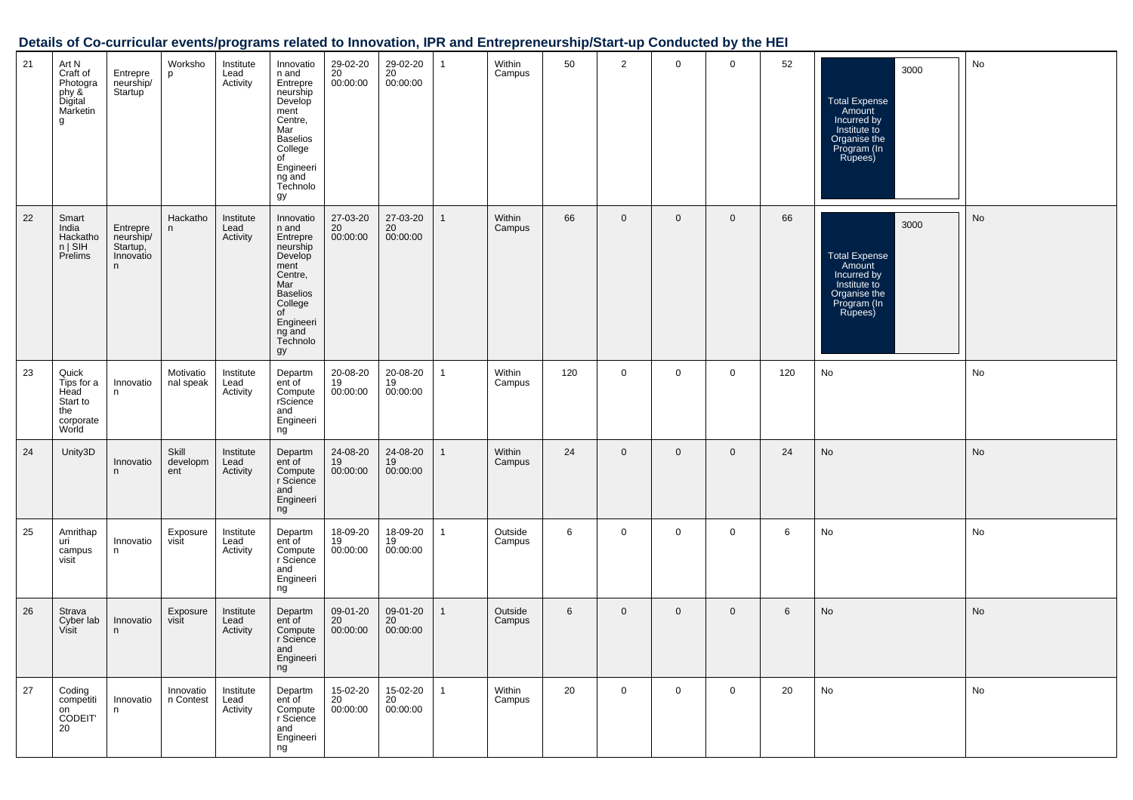| 21 | Art N<br>Craft of<br>Photogra<br>phy &<br>Marketin<br>g              | Entrepre<br>neurship/<br>Startup <sup>1</sup>       | Worksho<br>p             | Institute<br>Lead<br>Activity | Innovatio<br>n and<br>Entrepre<br>neurship<br>Develop<br>ment<br>Centre,<br>Mar<br><b>Baselios</b><br>College<br>of<br>Engineeri<br>ng and<br>Technolo<br>gy | 29-02-20<br>20<br>00:00:00 | 29-02-20<br>20<br>00:00:00 | $\mathbf{1}$ | Within<br>Campus  | 50  | $\overline{2}$ | $\mathbf 0$ | $\overline{0}$ | 52  | 3000<br><b>Total Expense</b><br>Amount<br>Incurred by<br>Institute to<br>Organise the<br>Program (In<br>Rupees) | No |
|----|----------------------------------------------------------------------|-----------------------------------------------------|--------------------------|-------------------------------|--------------------------------------------------------------------------------------------------------------------------------------------------------------|----------------------------|----------------------------|--------------|-------------------|-----|----------------|-------------|----------------|-----|-----------------------------------------------------------------------------------------------------------------|----|
| 22 | Smart<br>India<br>Hackatho<br>$n \mid$ SIH<br>Prelims                | Entrepre<br>neurship/<br>Startup,<br>Innovatio<br>n | Hackatho<br>n            | Institute<br>Lead<br>Activity | Innovatio<br>n and<br>Entrepre<br>neurship<br>Develop<br>ment<br>Centre,<br>Mar<br><b>Baselios</b><br>College<br>of<br>Engineeri<br>ng and<br>Technolo<br>gy | 27-03-20<br>20<br>00:00:00 | 27-03-20<br>20<br>00:00:00 | $\mathbf{1}$ | Within<br>Campus  | 66  | $\mathbf 0$    | $\mathbf 0$ | $\mathbf 0$    | 66  | 3000<br>Total Expense<br>Amount<br>Incurred by<br>Institute to<br>Organise the<br>Program (In<br>Rupees)        | No |
| 23 | Quick<br>Tips for a<br>Head<br>Start to<br>the<br>corporate<br>World | Innovatio<br>n                                      | Motivatio<br>nal speak   | Institute<br>Lead<br>Activity | Departm<br>ent of<br>Compute<br>rScience<br>and<br>Engineeri<br>ng                                                                                           | 20-08-20<br>19<br>00:00:00 | 20-08-20<br>19<br>00:00:00 | $\mathbf{1}$ | Within<br>Campus  | 120 | $\mathbf 0$    | $\mathbf 0$ | $\mathbf 0$    | 120 | No                                                                                                              | No |
| 24 | Unity3D                                                              | Innovatio<br>n                                      | Skill<br>developm<br>ent | Institute<br>Lead<br>Activity | Departm<br>ent of<br>Compute<br>r Science<br>and<br>Engineeri<br>ng                                                                                          | 24-08-20<br>19<br>00:00:00 | 24-08-20<br>19<br>00:00:00 | $\mathbf{1}$ | Within<br>Campus  | 24  | $\mathbf 0$    | $\mathbf 0$ | $\mathbf 0$    | 24  | No                                                                                                              | No |
| 25 | Amrithap<br>uri<br>campus<br>visit                                   | Innovatio<br>n                                      | Exposure<br>visit        | Institute<br>Lead<br>Activity | Departm<br>ent of<br>Compute<br>r Science<br>and<br>Engineeri<br>ng                                                                                          | 18-09-20<br>19<br>00:00:00 | 18-09-20<br>19<br>00:00:00 | $\mathbf{1}$ | Outside<br>Campus | 6   | $\mathbf 0$    | $\mathbf 0$ | $\mathbf 0$    | 6   | No                                                                                                              | No |
| 26 | Strava<br>Cyber lab<br>Visit                                         | Innovatio<br>n                                      | Exposure<br>visit        | Institute<br>Lead<br>Activity | Departm<br>ent of<br>Compute<br>r Science<br>and<br>Engineeri<br>ng                                                                                          | 09-01-20<br>20<br>00:00:00 | 09-01-20<br>20<br>00:00:00 | $\mathbf{1}$ | Outside<br>Campus | 6   | $\mathbf 0$    | $\mathbf 0$ | $\mathbf 0$    | 6   | No                                                                                                              | No |
| 27 | Coding<br>competiti<br>on<br>CODEIT<br>20                            | Innovatio<br>n                                      | Innovatio<br>n Contest   | Institute<br>Lead<br>Activity | Departm<br>ent of<br>Compute<br>r Science<br>and<br>Engineeri<br>ng                                                                                          | 15-02-20<br>20<br>00:00:00 | 15-02-20<br>20<br>00:00:00 | $\mathbf{1}$ | Within<br>Campus  | 20  | $\mathbf 0$    | $\mathbf 0$ | $\mathbf 0$    | 20  | No                                                                                                              | No |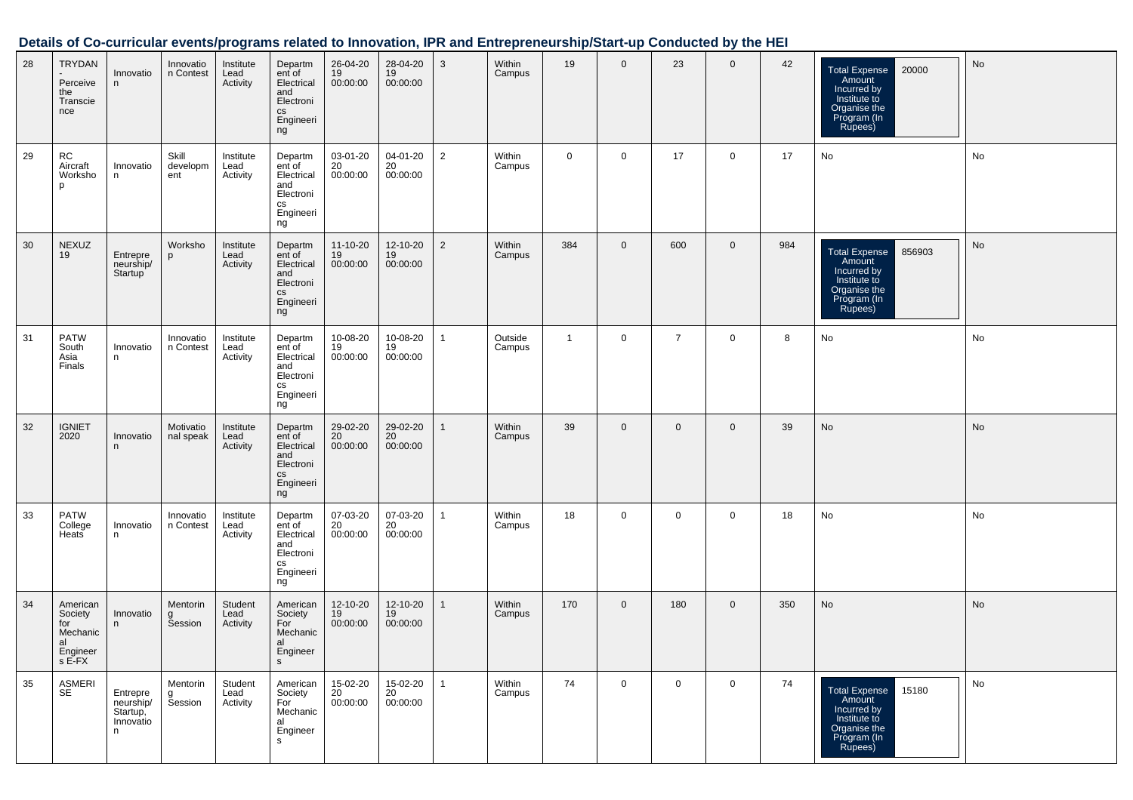| 28 | TRYDAN<br>Perceive<br>the<br>Transcie<br>nce                       | Innovatio<br>n.                                     | Innovatio<br>n Contest   | Institute<br>Lead<br>Activity | Departm<br>ent of<br>Electrical<br>and<br>Electroni<br>cs<br>Engineeri<br>ng            | 26-04-20<br>19<br>00:00:00 | 28-04-20<br>19<br>00:00:00 | 3              | Within<br>Campus  | 19           | $\mathbf 0$ | 23             | $\mathbf 0$ | 42  | 20000<br>Total Expense<br>Amount<br>Incurred by<br>Institute to<br>Organise the<br>Program (In<br>Rupees)         | No        |
|----|--------------------------------------------------------------------|-----------------------------------------------------|--------------------------|-------------------------------|-----------------------------------------------------------------------------------------|----------------------------|----------------------------|----------------|-------------------|--------------|-------------|----------------|-------------|-----|-------------------------------------------------------------------------------------------------------------------|-----------|
| 29 | RC<br>Aircraft<br>Worksho<br>p                                     | Innovatio<br>n                                      | Skill<br>developm<br>ent | Institute<br>Lead<br>Activity | Departm<br>ent of<br>Electrical<br>and<br>Electroni<br>cs<br>Engineeri<br>ng            | 03-01-20<br>20<br>00:00:00 | 04-01-20<br>20<br>00:00:00 | $\overline{2}$ | Within<br>Campus  | 0            | $\mathbf 0$ | 17             | $\mathbf 0$ | 17  | No                                                                                                                | No        |
| 30 | <b>NEXUZ</b><br>19                                                 | Entrepre<br>neurship/<br>Startup                    | Worksho<br>p             | Institute<br>Lead<br>Activity | Departm<br>ent of<br>Electrical<br>and<br>Electroni<br>СS<br>Engineeri<br>ng            | 11-10-20<br>19<br>00:00:00 | 12-10-20<br>19<br>00:00:00 | $\overline{2}$ | Within<br>Campus  | 384          | $\mathbf 0$ | 600            | $\mathbf 0$ | 984 | 856903<br><b>Total Expense</b><br>Amount<br>Incurred by<br>Institute to<br>Organise the<br>Program (In<br>Rupees) | No        |
| 31 | <b>PATW</b><br>South<br>Asia<br>Finals                             | Innovatio<br>n                                      | Innovatio<br>n Contest   | Institute<br>Lead<br>Activity | Departm<br>ent of<br>Electrical<br>and<br>Electroni<br>cs<br>Engineeri<br>ng            | 10-08-20<br>19<br>00:00:00 | 10-08-20<br>19<br>00:00:00 | $\mathbf{1}$   | Outside<br>Campus | $\mathbf{1}$ | 0           | $\overline{7}$ | $\mathbf 0$ | 8   | No                                                                                                                | No        |
| 32 | <b>IGNIET</b><br>2020                                              | Innovatio<br>n.                                     | Motivatio<br>nal speak   | Institute<br>Lead<br>Activity | Departm<br>ent of<br>Electrical<br>and<br>Electroni<br>$\mathtt{CS}$<br>Engineeri<br>ng | 29-02-20<br>20<br>00:00:00 | 29-02-20<br>20<br>00:00:00 | $\mathbf{1}$   | Within<br>Campus  | 39           | $\mathbf 0$ | $\mathbf 0$    | $\mathbf 0$ | 39  | No                                                                                                                | <b>No</b> |
| 33 | PATW<br>College<br>Heats                                           | Innovatio<br>n                                      | Innovatio<br>n Contest   | Institute<br>Lead<br>Activity | Departm<br>ent of<br>Electrical<br>and<br>Electroni<br>cs<br>Engineeri<br>ng            | 07-03-20<br>20<br>00:00:00 | 07-03-20<br>20<br>00:00:00 | $\mathbf{1}$   | Within<br>Campus  | 18           | $\mathbf 0$ | 0              | $\mathbf 0$ | 18  | No                                                                                                                | No        |
| 34 | American<br>Society<br>for<br>Mechanic<br>al<br>Engineer<br>s E-FX | Innovatio<br>n                                      | Mentorin<br>g<br>Session | Student<br>Lead<br>Activity   | American<br>Society<br>For<br>Mechanic<br>al<br>Engineer<br>${\sf s}$                   | 12-10-20<br>19<br>00:00:00 | 12-10-20<br>19<br>00:00:00 | $\mathbf{1}$   | Within<br>Campus  | 170          | $\mathbf 0$ | 180            | $\mathbf 0$ | 350 | No                                                                                                                | No        |
| 35 | ASMERI<br>SE                                                       | Entrepre<br>neurship/<br>Startup,<br>Innovatio<br>n | Mentorin<br>g<br>Session | Student<br>Lead<br>Activity   | American<br>Society<br>For<br>Mechanic<br>al<br>Engineer<br>s                           | 15-02-20<br>20<br>00:00:00 | 15-02-20<br>20<br>00:00:00 | $\mathbf{1}$   | Within<br>Campus  | 74           | $\mathbf 0$ | $\mathbf 0$    | $\mathbf 0$ | 74  | <b>Total Expense</b><br>15180<br>Amount<br>Incurred by<br>Institute to<br>Organise the<br>Program (In<br>Rupees)  | No        |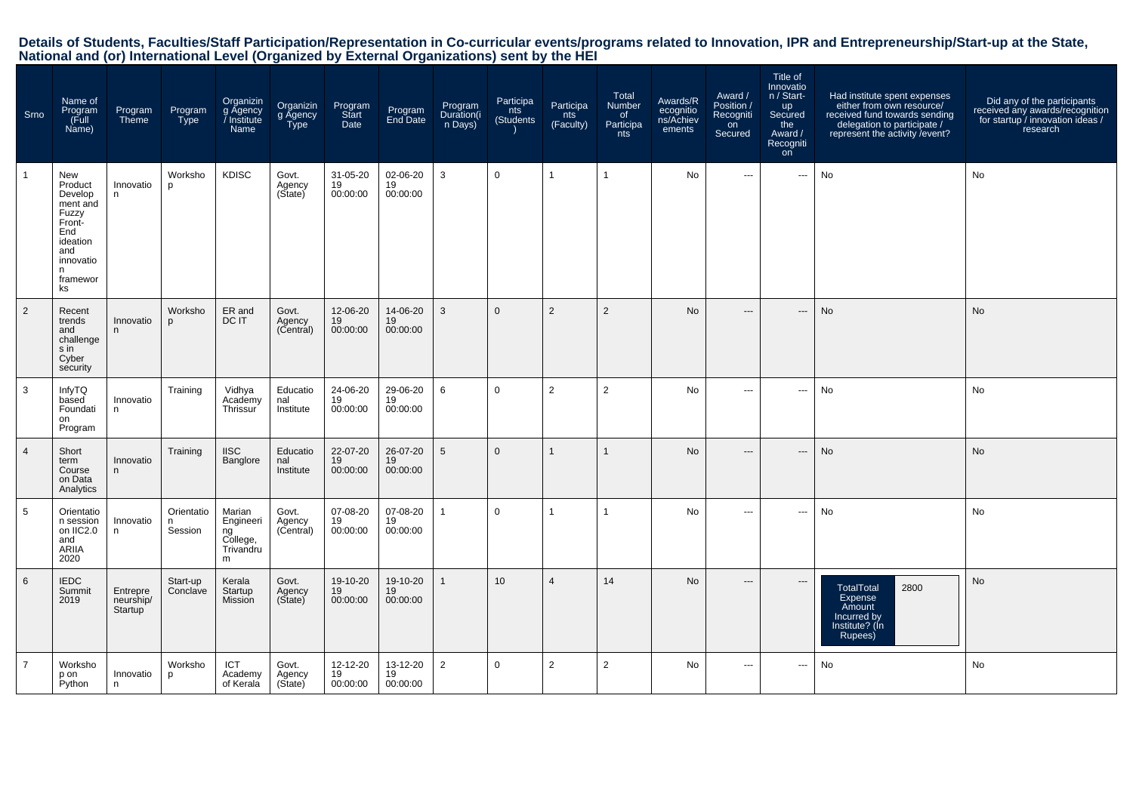# Details of Students, Faculties/Staff Participation/Representation in Co-curricular events/programs related to Innovation, IPR and Entrepreneurship/Start-up at the State,<br>National and (or) International Level (Organized by

| Srno           | Name of<br>Program<br>(Full<br>Name)                                                                                    | Program<br>Theme                 | Program<br><b>Type</b>     | Organizin<br>g Agency<br>/ Institute<br>Name            | Organizin<br>g Agency<br>Type | Program<br>Start<br>Date   | Program<br>End Date        | Program<br>Duration(i<br>n Days) | Participa<br>nts<br>(Students | Participa<br>nts<br>(Faculty) | Total<br>Number<br>of<br>Participa<br>nts | Awards/R<br>ecognitio<br>ns/Achiev<br>ements | Award /<br>Position /<br>Recogniti<br>on<br>Secured | Title of<br>Innovatio<br>n / Start-<br><b>up</b><br>Secured<br>the<br>Award /<br>Recogniti<br>on | Had institute spent expenses<br>either from own resource/<br>received fund towards sending<br>delegation to participate /<br>represent the activity / event? | Did any of the participants<br>received any awards/recognition<br>for startup / innovation ideas /<br>research |
|----------------|-------------------------------------------------------------------------------------------------------------------------|----------------------------------|----------------------------|---------------------------------------------------------|-------------------------------|----------------------------|----------------------------|----------------------------------|-------------------------------|-------------------------------|-------------------------------------------|----------------------------------------------|-----------------------------------------------------|--------------------------------------------------------------------------------------------------|--------------------------------------------------------------------------------------------------------------------------------------------------------------|----------------------------------------------------------------------------------------------------------------|
| $\mathbf{1}$   | New<br>Product<br>Develop<br>ment and<br>Fuzzy<br>Front-<br>End<br>ideation<br>and<br>innovatio<br>n.<br>framewor<br>ks | Innovatio<br>n.                  | Worksho<br>p               | <b>KDISC</b>                                            | Govt.<br>Agency<br>(Sitate)   | 31-05-20<br>19<br>00:00:00 | 02-06-20<br>19<br>00:00:00 | 3                                | $\Omega$                      | -1                            | -1                                        | <b>No</b>                                    | $\scriptstyle\cdots$                                | $\scriptstyle\cdots$                                                                             | No                                                                                                                                                           | No                                                                                                             |
| 2              | Recent<br>trends<br>and<br>challenge<br>s in<br>Cyber<br>security                                                       | Innovatio<br>n                   | Worksho<br>D               | ER and<br>DC IT                                         | Govt.<br>Agency<br>(Central)  | 12-06-20<br>19<br>00:00:00 | 14-06-20<br>19<br>00:00:00 | 3                                | $\Omega$                      | 2                             | $\overline{2}$                            | <b>No</b>                                    | $\hspace{0.05cm} \ldots$                            | $\hspace{0.05cm} \cdots$                                                                         | <b>No</b>                                                                                                                                                    | <b>No</b>                                                                                                      |
| 3              | InfyTQ<br>based<br>Foundati<br>on<br>Program                                                                            | Innovatio<br>n                   | Training                   | Vidhya<br>Academy<br>Thrissur                           | Educatio<br>nal<br>Institute  | 24-06-20<br>19<br>00:00:00 | 29-06-20<br>19<br>00:00:00 | 6                                | $\mathbf 0$                   | 2                             | $\overline{2}$                            | No                                           | $\hspace{0.05cm} \ldots$                            | $\hspace{0.05cm} \cdots$                                                                         | No                                                                                                                                                           | No                                                                                                             |
| $\overline{4}$ | Short<br>term<br>Course<br>on Data<br>Analytics                                                                         | Innovatio<br>n                   | Training                   | <b>IISC</b><br>Banglore                                 | Educatio<br>nal<br>Institute  | 22-07-20<br>19<br>00:00:00 | 26-07-20<br>19<br>00:00:00 | 5                                | $\Omega$                      | $\mathbf{1}$                  | $\overline{1}$                            | <b>No</b>                                    | $\overline{\phantom{a}}$                            | ---                                                                                              | No                                                                                                                                                           | No                                                                                                             |
| 5              | Orientatio<br>n session<br>on IIC2.0<br>and<br><b>ARIIA</b><br>2020                                                     | Innovatio<br>n.                  | Orientatio<br>n<br>Session | Marian<br>Engineeri<br>ng<br>College,<br>Trivandru<br>m | Govt.<br>Agency<br>(Central)  | 07-08-20<br>19<br>00:00:00 | 07-08-20<br>19<br>00:00:00 | $\mathbf{1}$                     | $\mathbf 0$                   |                               | $\overline{1}$                            | No                                           | $\cdots$                                            | $\hspace{0.05cm} \cdots$                                                                         | No                                                                                                                                                           | No                                                                                                             |
| 6              | <b>IEDC</b><br>Summit<br>2019                                                                                           | Entrepre<br>neurship/<br>Startup | Start-up<br>Conclave       | Kerala<br>Startup<br><b>Mission</b>                     | Govt.<br>Agency<br>(Sitate)   | 19-10-20<br>19<br>00:00:00 | 19-10-20<br>19<br>00:00:00 | $\mathbf{1}$                     | 10 <sup>°</sup>               | $\overline{4}$                | 14                                        | <b>No</b>                                    | $---$                                               | $---$                                                                                            | <b>TotalTotal</b><br>2800<br>Expense<br>Amount<br>Incurred by<br>Institute? (Ín<br>Rupees)                                                                   | No                                                                                                             |
| $\overline{7}$ | Worksho<br>p on<br>Python                                                                                               | Innovatio<br>n                   | Worksho<br>p               | ICT<br>Academy<br>of Kerala                             | Govt.<br>Agency<br>(State)    | 12-12-20<br>19<br>00:00:00 | 13-12-20<br>19<br>00:00:00 | $\overline{2}$                   | $\mathbf 0$                   | 2                             | $\overline{2}$                            | No                                           | $- - -$                                             | $\hspace{0.05cm} \ldots$                                                                         | No                                                                                                                                                           | No                                                                                                             |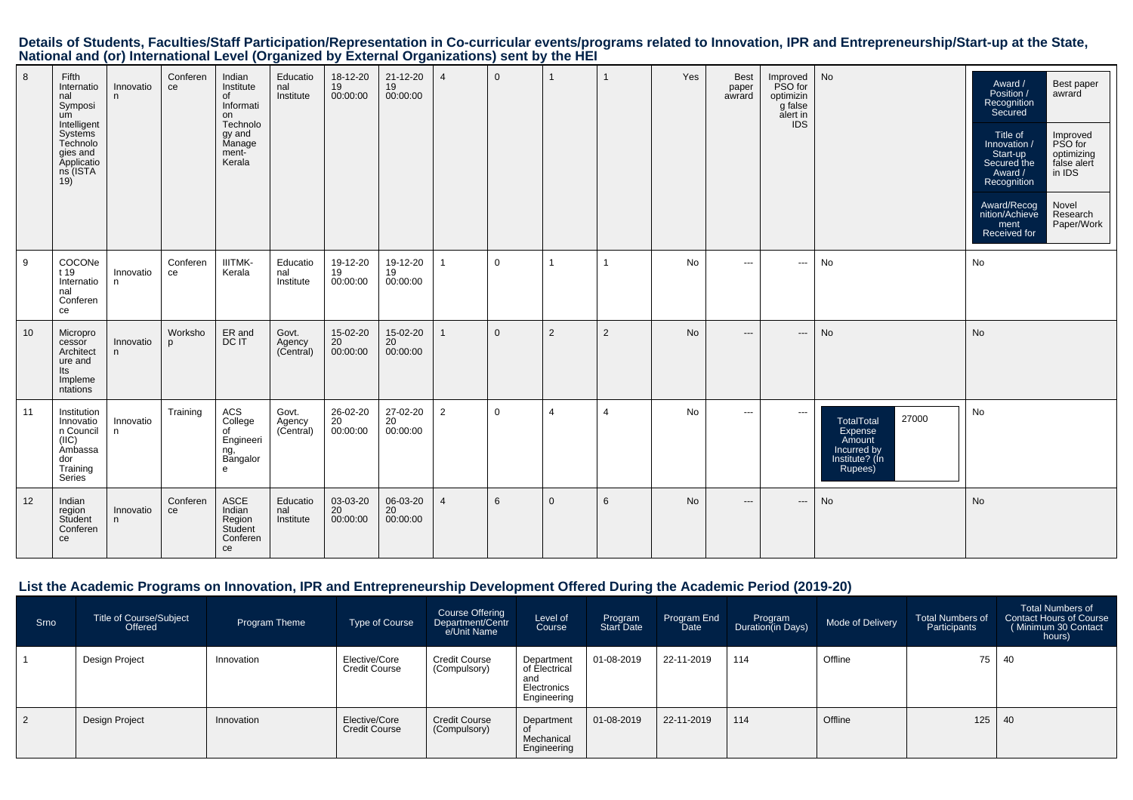Details of Students, Faculties/Staff Participation/Representation in Co-curricular events/programs related to Innovation, IPR and Entrepreneurship/Start-up at the State,<br>National and (or) International Level (Organized by

| 8  | Fifth<br>Internatio<br>nal<br>Symposi<br>um<br>Intelligent<br>Systems<br>Technolo<br>gies and<br><b>Applicatio</b><br>$ns$ (ISTA<br>19) | Innovatio<br>n  | Conferen<br>ce          | Indian<br>Institute<br>of<br>Informati<br>on<br>Technolo<br>gy and<br>Manage<br>ment-<br>Kerala | Educatio<br>nal<br>Institute | 18-12-20<br>19<br>00:00:00 | 21-12-20<br>19<br>00:00:00 | $\overline{4}$ | $\Omega$     | $\mathbf{1}$   |                | Yes       | <b>Best</b><br>paper<br>awrard | Improved<br>PSO for<br>optimizin<br>g false<br>alert in<br><b>IDS</b> | No                                                                                          | Award /<br>Best paper<br>Position /<br>awrard<br>Recognition<br>Secured<br>Title of<br>Improved<br>PSO for<br>Innovation /<br>optimizing<br>Start-up<br>false alert<br>Secured the<br>in IDS<br>Award /<br>Recognition<br>Novel<br>Award/Recog<br>Research<br>nition/Achieve<br>Paper/Work<br>ment<br>Received for |
|----|-----------------------------------------------------------------------------------------------------------------------------------------|-----------------|-------------------------|-------------------------------------------------------------------------------------------------|------------------------------|----------------------------|----------------------------|----------------|--------------|----------------|----------------|-----------|--------------------------------|-----------------------------------------------------------------------|---------------------------------------------------------------------------------------------|--------------------------------------------------------------------------------------------------------------------------------------------------------------------------------------------------------------------------------------------------------------------------------------------------------------------|
| 9  | COCONe<br>t 19<br>Internatio<br>nal<br>Conferen<br>ce                                                                                   | Innovatio<br>n. | Conferen<br>ce          | <b>IIITMK-</b><br>Kerala                                                                        | Educatio<br>nal<br>Institute | 19-12-20<br>19<br>00:00:00 | 19-12-20<br>19<br>00:00:00 | $\mathbf{1}$   | $\mathbf 0$  | $\mathbf{1}$   |                | No        | $- - -$                        | $\scriptstyle\cdots$                                                  | No                                                                                          | No                                                                                                                                                                                                                                                                                                                 |
| 10 | Micropro<br>cessor<br>Architect<br>ure and<br>lts<br>Impleme<br>ntations                                                                | Innovatio<br>n. | Worksho<br>$\mathsf{D}$ | ER and<br>DC IT                                                                                 | Govt.<br>Agency<br>(Central) | 15-02-20<br>20<br>00:00:00 | 15-02-20<br>20<br>00:00:00 | $\mathbf{1}$   | $\mathbf{0}$ | 2              | 2              | <b>No</b> | $---$                          | $\cdots$                                                              | No                                                                                          | <b>No</b>                                                                                                                                                                                                                                                                                                          |
| 11 | Institution<br>Innovatio<br>n Council<br>(IIC)<br>Ambassa<br>dor<br>Training<br>Series                                                  | Innovatio<br>n  | Training                | ACS<br>College<br>of<br>Engineeri<br>ng,<br>Bangalor<br>e                                       | Govt.<br>Agency<br>(Central) | 26-02-20<br>20<br>00:00:00 | 27-02-20<br>20<br>00:00:00 | 2              | $\Omega$     | $\overline{4}$ | $\overline{4}$ | <b>No</b> | $\cdots$                       | $\cdots$                                                              | 27000<br><b>TotalTotal</b><br>Expense<br>Amount<br>Incurred by<br>Institute? (In<br>Rupees) | No                                                                                                                                                                                                                                                                                                                 |
| 12 | Indian<br>region<br>Student<br>Conferen<br>ce                                                                                           | Innovatio<br>n. | Conferen<br>ce          | ASCE<br>Indian<br>Region<br>Student<br>Conferen<br>ce                                           | Educatio<br>nal<br>Institute | 03-03-20<br>20<br>00:00:00 | 06-03-20<br>20<br>00:00:00 | $\overline{4}$ | 6            | $\overline{0}$ | 6              | No        | $---$                          | $\hspace{0.05cm} \ldots$                                              | No                                                                                          | No                                                                                                                                                                                                                                                                                                                 |

#### **List the Academic Programs on Innovation, IPR and Entrepreneurship Development Offered During the Academic Period (2019-20)**

| Srno      | Title of Course/Subject<br>Offered | Program Theme | Type of Course                        | Course Offering<br>Department/Centr<br>e/Unit Name | Level of<br>Course                                               | Program<br>Start Date | Program End<br>Date | Program<br>Duration(in Days) | Mode of Delivery | <b>Total Numbers of</b><br>Participants | Total Numbers of<br>Contact Hours of Course<br>(Minimum 30 Contact<br>hours) |
|-----------|------------------------------------|---------------|---------------------------------------|----------------------------------------------------|------------------------------------------------------------------|-----------------------|---------------------|------------------------------|------------------|-----------------------------------------|------------------------------------------------------------------------------|
|           | Design Project                     | Innovation    | Elective/Core<br><b>Credit Course</b> | <b>Credit Course</b><br>(Compulsory)               | Department<br>of Electrical<br>and<br>Electronics<br>Engineering | 01-08-2019            | 22-11-2019          | 114                          | Offline          | 75                                      | 40                                                                           |
| $\vert$ 2 | Design Project                     | Innovation    | Elective/Core<br><b>Credit Course</b> | <b>Credit Course</b><br>(Compulsory)               | Department<br>of<br>Mechanical<br>Engineering                    | 01-08-2019            | 22-11-2019          | 114                          | Offline          | 125                                     | 40                                                                           |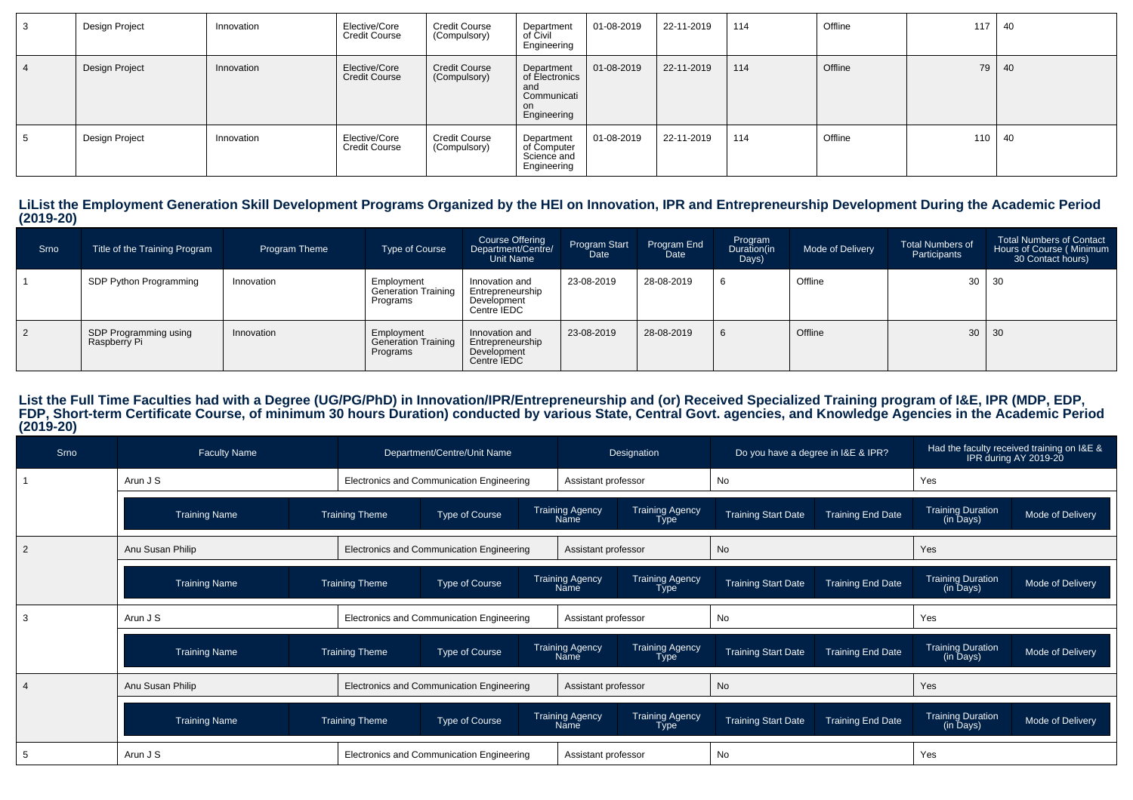| Design Project | Innovation | Elective/Core<br><b>Credit Course</b> | <b>Credit Course</b><br>(Compulsory) | Department<br>of Civil<br>Engineering                                          | 01-08-2019         | 22-11-2019 | 114 | Offline | 117 | -40 |
|----------------|------------|---------------------------------------|--------------------------------------|--------------------------------------------------------------------------------|--------------------|------------|-----|---------|-----|-----|
| Design Project | Innovation | Elective/Core<br><b>Credit Course</b> | <b>Credit Course</b><br>(Compulsory) | Department<br>of Electronics<br>and<br>Communicati<br><b>on</b><br>Engineering | $  01 - 08 - 2019$ | 22-11-2019 | 114 | Offline | 79  | 40  |
| Design Project | Innovation | Elective/Core<br><b>Credit Course</b> | <b>Credit Course</b><br>(Compulsory) | Department<br>of Computer<br>Science and<br>Engineering                        | 01-08-2019         | 22-11-2019 | 114 | Offline | 110 | -40 |

**LiList the Employment Generation Skill Development Programs Organized by the HEI on Innovation, IPR and Entrepreneurship Development During the Academic Period(2019-20)**

| Srno | Title of the Training Program         | <b>Program Theme</b> | Type of Course                                       | Course Offering<br>Department/Centre/<br>Unit Name               | Program Start<br>Date | Program End<br>Date | Program<br>Duration(in<br>Days) | Mode of Delivery | <b>Total Numbers of</b><br>Participants | <b>Total Numbers of Contact</b><br>Hours of Course (Minimum<br>30 Contact hours) |
|------|---------------------------------------|----------------------|------------------------------------------------------|------------------------------------------------------------------|-----------------------|---------------------|---------------------------------|------------------|-----------------------------------------|----------------------------------------------------------------------------------|
|      | SDP Python Programming                | Innovation           | Employment<br><b>Generation Training</b><br>Programs | Innovation and<br>Entrepreneurship<br>Development<br>Centre IEDC | 23-08-2019            | 28-08-2019          | 6                               | Offline          |                                         | $30 \mid 30$                                                                     |
|      | SDP Programming using<br>Raspberry Pi | Innovation           | Employment<br><b>Generation Training</b><br>Programs | Innovation and<br>Entrepreneurship<br>Development<br>Centre IEDC | 23-08-2019            | 28-08-2019          | 6                               | Offline          |                                         | $30 \mid 30$                                                                     |

# List the Full Time Faculties had with a Degree (UG/PG/PhD) in Innovation/IPR/Entrepreneurship and (or) Received Specialized Training program of I&E, IPR (MDP, EDP,<br>FDP, Short-term Certificate Course, of minimum 30 hours Du

| Srno           | <b>Faculty Name</b>  |                       | Department/Centre/Unit Name               |                                | Designation                           | Do you have a degree in I&E & IPR? |                          |                                       | Had the faculty received training on I&E &<br>IPR during AY 2019-20 |
|----------------|----------------------|-----------------------|-------------------------------------------|--------------------------------|---------------------------------------|------------------------------------|--------------------------|---------------------------------------|---------------------------------------------------------------------|
|                | Arun J S             |                       | Electronics and Communication Engineering | Assistant professor            |                                       | No                                 |                          | Yes                                   |                                                                     |
|                | <b>Training Name</b> | <b>Training Theme</b> | Type of Course                            | <b>Training Agency</b><br>Name | <b>Training Agency</b><br><b>Type</b> | <b>Training Start Date</b>         | <b>Training End Date</b> | <b>Training Duration</b><br>(in Days) | Mode of Delivery                                                    |
| $\overline{2}$ | Anu Susan Philip     |                       | Electronics and Communication Engineering | Assistant professor            |                                       | No                                 |                          | Yes                                   |                                                                     |
|                | <b>Training Name</b> | <b>Training Theme</b> | Type of Course                            | <b>Training Agency</b><br>Name | <b>Training Agency</b><br><b>Type</b> | <b>Training Start Date</b>         | <b>Training End Date</b> | <b>Training Duration</b><br>(in Days) | Mode of Delivery                                                    |
|                | Arun J S             |                       | Electronics and Communication Engineering | Assistant professor            |                                       | No                                 |                          | Yes                                   |                                                                     |
|                | Training Name        | <b>Training Theme</b> | Type of Course                            | <b>Training Agency</b><br>Name | <b>Training Agency</b><br>Type        | <b>Training Start Date</b>         | <b>Training End Date</b> | <b>Training Duration</b><br>(in Days) | Mode of Delivery                                                    |
|                | Anu Susan Philip     |                       | Electronics and Communication Engineering | Assistant professor            |                                       | <b>No</b>                          |                          | Yes                                   |                                                                     |
|                | <b>Training Name</b> | <b>Training Theme</b> | Type of Course                            | <b>Training Agency</b><br>Name | <b>Training Agency</b><br><b>Type</b> | <b>Training Start Date</b>         | <b>Training End Date</b> | <b>Training Duration</b><br>(in Days) | Mode of Delivery                                                    |
|                | Arun J S             |                       | Electronics and Communication Engineering | Assistant professor            |                                       | No.                                |                          | Yes                                   |                                                                     |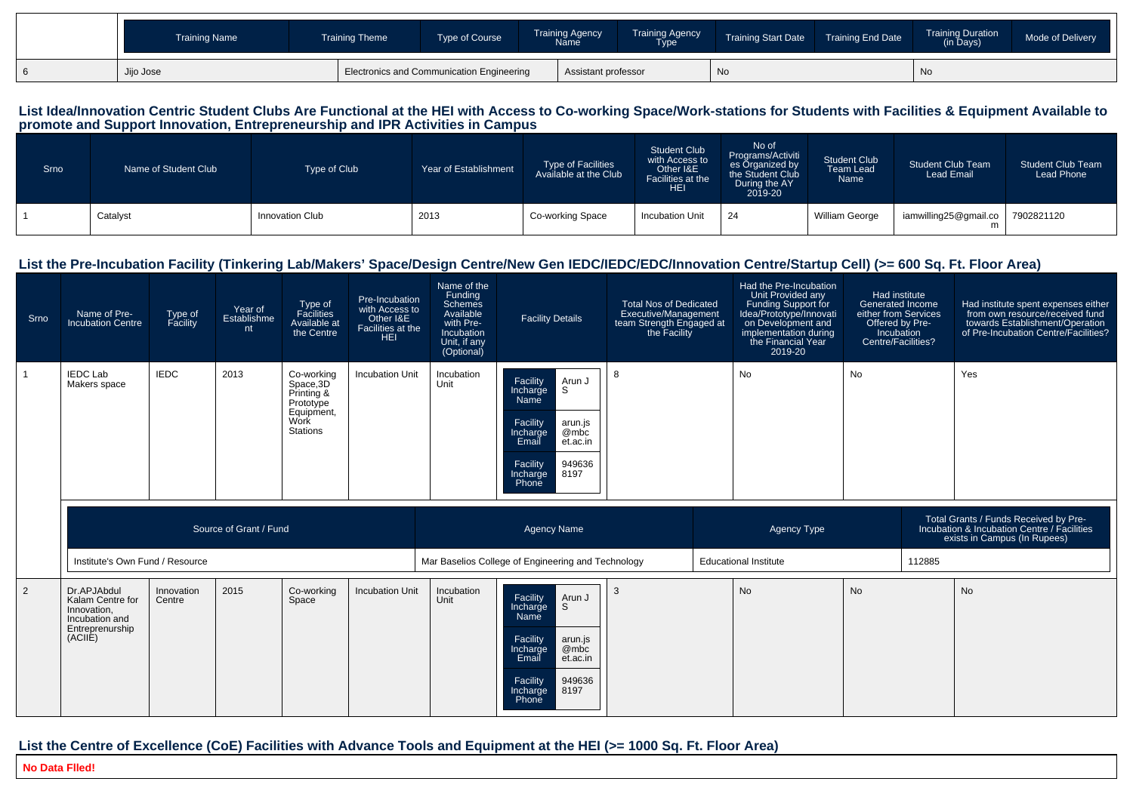| <b>Training Name</b> | <b>Training Theme</b> | Type of Course                            | <b>Training Agency</b><br><b>Name</b> | <b>Training Agency</b><br><b>Type</b> | <b>Training Start Date</b> | <b>Training End Date</b> | <b>Training Duration</b><br>(in Days) | Mode of Delivery |
|----------------------|-----------------------|-------------------------------------------|---------------------------------------|---------------------------------------|----------------------------|--------------------------|---------------------------------------|------------------|
| Jijo Jose            |                       | Electronics and Communication Engineering | Assistant professor                   |                                       | ' No                       |                          | No.                                   |                  |

# List Idea/Innovation Centric Student Clubs Are Functional at the HEI with Access to Co-working Space/Work-stations for Students with Facilities & Equipment Available to<br>promote and Support Innovation, Entrepreneurship and

| <b>Srno</b> | Name of Student Club | Type of Club    | Year of Establishment | <b>Type of Facilities</b><br>Available at the Club | <b>Student Club</b><br>with Access to<br>Other I&E<br>Facilities at the<br><b>HEI</b> | No of<br>Programs/Activiti<br>es Örganized by<br>the Student Club<br>During the AY<br>2019-20 | <b>Student Club</b><br>Team Lead<br>Name | <b>Student Club Team</b><br><b>Lead Email</b> | <b>Student Club Team</b><br>Lead Phone |
|-------------|----------------------|-----------------|-----------------------|----------------------------------------------------|---------------------------------------------------------------------------------------|-----------------------------------------------------------------------------------------------|------------------------------------------|-----------------------------------------------|----------------------------------------|
|             | Catalyst             | Innovation Club | 2013                  | Co-working Space                                   | <b>Incubation Unit</b>                                                                | 24                                                                                            | William George                           | iamwilling25@gmail.co                         | 7902821120                             |

#### **List the Pre-Incubation Facility (Tinkering Lab/Makers' Space/Design Centre/New Gen IEDC/IEDC/EDC/Innovation Centre/Startup Cell) (>= 600 Sq. Ft. Floor Area)**

| Srno | Name of Pre-<br><b>Incubation Centre</b>                                                       | Type of<br>Facility  | Year of<br>Establishme<br>nt | Type of<br>Facilities<br>Available at<br>the Centre                                         | Pre-Incubation<br>with Access to<br>Other I&E<br>Facilities at the<br><b>HEI</b> | Name of the<br>Funding<br>Schemes<br>Available<br>with Pre-<br>Incubation<br>Unit, if any<br>(Optional) | <b>Facility Details</b>                                                                                                                                         | <b>Total Nos of Dedicated</b><br>Executive/Management<br>team Strength Engaged at<br>the Facility | Had the Pre-Incubation<br>Unit Provided any<br>Funding Support for<br>Idea/Prototype/Innovati<br>on Development and<br>implementation during<br>the Financial Year<br>2019-20 | Had institute<br>Generated Income<br>either from Services<br>Offered by Pre-<br>Incubation<br>Centre/Facilities? |        | Had institute spent expenses either<br>from own resource/received fund<br>towards Establishment/Operation<br>of Pre-Incubation Centre/Facilities? |
|------|------------------------------------------------------------------------------------------------|----------------------|------------------------------|---------------------------------------------------------------------------------------------|----------------------------------------------------------------------------------|---------------------------------------------------------------------------------------------------------|-----------------------------------------------------------------------------------------------------------------------------------------------------------------|---------------------------------------------------------------------------------------------------|-------------------------------------------------------------------------------------------------------------------------------------------------------------------------------|------------------------------------------------------------------------------------------------------------------|--------|---------------------------------------------------------------------------------------------------------------------------------------------------|
|      | <b>IEDC Lab</b><br>Makers space                                                                | <b>IEDC</b>          | 2013                         | Co-working<br>Space, 3D<br>Printing &<br>Prototype<br>Equipment,<br>Work<br><b>Stations</b> | <b>Incubation Unit</b>                                                           | Incubation<br>Unit                                                                                      | Facility<br>Incharge<br>Arun J<br>S.<br>Name<br>Facility<br>arun.js<br>@mbc<br>Incharge<br>Email<br>et.ac.in<br>Facility<br>949636<br>8197<br>Incharge<br>Phone | -8                                                                                                | <b>No</b>                                                                                                                                                                     | <b>No</b>                                                                                                        |        | Yes                                                                                                                                               |
|      |                                                                                                |                      | Source of Grant / Fund       |                                                                                             |                                                                                  |                                                                                                         | <b>Agency Name</b>                                                                                                                                              |                                                                                                   | <b>Agency Type</b>                                                                                                                                                            |                                                                                                                  |        | Total Grants / Funds Received by Pre-<br>Incubation & Incubation Centre / Facilities<br>exists in Campus (In Rupees)                              |
|      | Institute's Own Fund / Resource                                                                |                      |                              |                                                                                             |                                                                                  |                                                                                                         | Mar Baselios College of Engineering and Technology                                                                                                              |                                                                                                   | <b>Educational Institute</b>                                                                                                                                                  |                                                                                                                  | 112885 |                                                                                                                                                   |
| 2    | Dr.APJAbdul<br>Kalam Centre for<br>Innovation,<br>Incubation and<br>Entreprenurship<br>(ACIIE) | Innovation<br>Centre | 2015                         | Co-working<br>Space                                                                         | <b>Incubation Unit</b>                                                           | Incubation<br>Unit                                                                                      | Facility<br>Arun J<br><sub>S</sub><br>Incharge<br>Name<br>Facility<br>arun.js<br>@mbc<br>Incharge<br>Email<br>et.ac.in                                          | 3                                                                                                 | <b>No</b>                                                                                                                                                                     | <b>No</b>                                                                                                        |        | <b>No</b>                                                                                                                                         |

#### **List the Centre of Excellence (CoE) Facilities with Advance Tools and Equipment at the HEI (>= 1000 Sq. Ft. Floor Area)**

**No Data Flled!**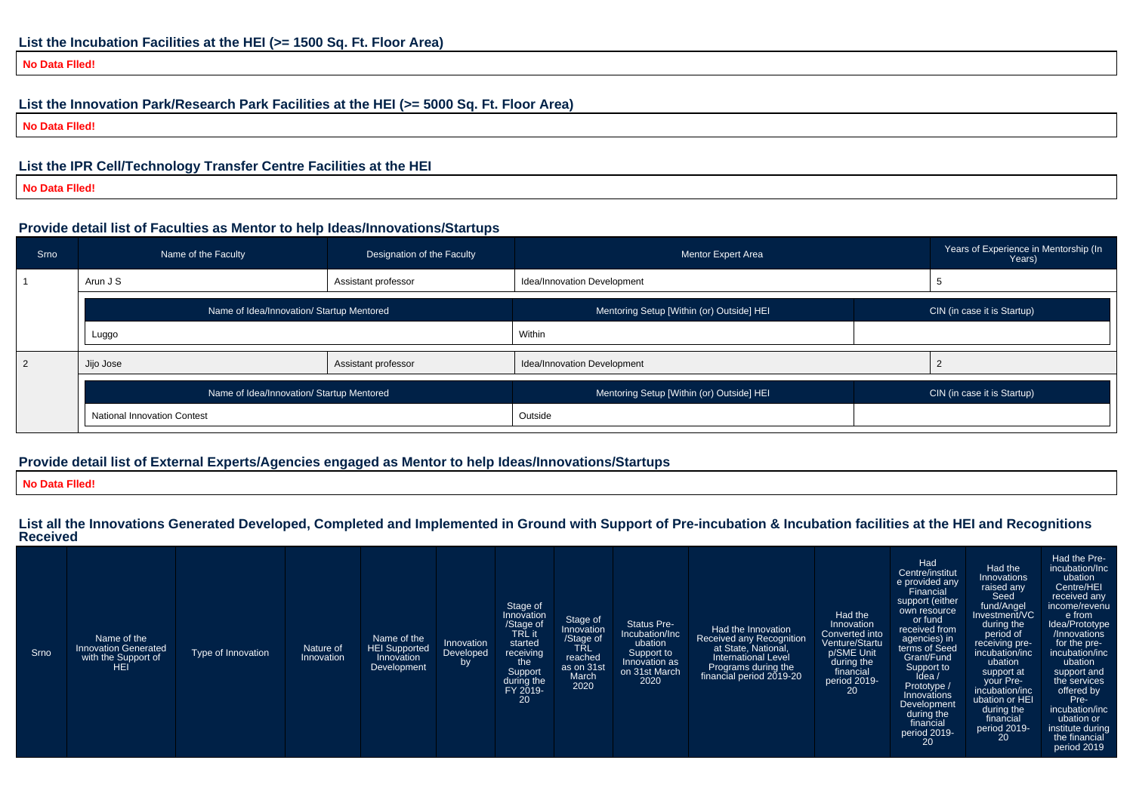**No Data Flled!**

### **List the Innovation Park/Research Park Facilities at the HEI (>= 5000 Sq. Ft. Floor Area)**

**No Data Flled!**

#### **List the IPR Cell/Technology Transfer Centre Facilities at the HEI**

**No Data Flled!**

#### **Provide detail list of Faculties as Mentor to help Ideas/Innovations/Startups**

| Srno | Name of the Faculty                       | Designation of the Faculty | Mentor Expert Area                        | Years of Experience in Mentorship (In<br>Years) |
|------|-------------------------------------------|----------------------------|-------------------------------------------|-------------------------------------------------|
|      | Arun J S                                  | Assistant professor        | Idea/Innovation Development               |                                                 |
|      | Name of Idea/Innovation/ Startup Mentored |                            | Mentoring Setup [Within (or) Outside] HEI | CIN (in case it is Startup)                     |
|      | Luggo                                     |                            | Within                                    |                                                 |
| 2    | Jijo Jose                                 | Assistant professor        | Idea/Innovation Development               |                                                 |
|      | Name of Idea/Innovation/ Startup Mentored |                            | Mentoring Setup [Within (or) Outside] HEI | CIN (in case it is Startup)                     |
|      | <b>National Innovation Contest</b>        |                            | Outside                                   |                                                 |

#### **Provide detail list of External Experts/Agencies engaged as Mentor to help Ideas/Innovations/Startups**

**No Data Flled!**

**List all the Innovations Generated Developed, Completed and Implemented in Ground with Support of Pre-incubation & Incubation facilities at the HEI and RecognitionsReceived**

| Srno | Name of the<br><b>Innovation Generated</b><br>with the Support of<br>HEI | Type of Innovation | Nature of<br>Innovation | Name of the<br><b>HEI Supported</b><br>Innovation<br>Development | Innovation<br>Developed<br>by | Stage of<br>Innovation<br>/Stage of<br>TRL it<br>started<br>receiving<br>the<br>Support<br>during the<br>FY 2019-<br>20 | Stage of<br>Innovation<br>/Stage of<br>TRL<br>reached<br>as on 31st<br>March<br>2020 | <b>Status Pre-</b><br>Incubation/Inc<br>ubation<br>Support to<br>Innovation as<br>on 31st March<br>2020 | Had the Innovation<br>Received any Recognition<br>at State, National,<br><b>International Level</b><br>Programs during the<br>financial period 2019-20 | Had the<br>Innovation<br>Converted into<br>Venture/Startu<br>p/SME Unit<br>during the<br>financial<br>period 2019-<br>20 | Had<br>Centre/institut<br>e provided any<br>Financial<br>support (either<br>own resource<br>or fund<br>received from<br>agencies) in<br>terms of Seed<br>Grant/Fund<br>Support to<br>Idea /<br>Prototype /<br>Innovations<br>Development<br>during the<br>financial<br>period 2019-<br>20 | Had the<br>Innovations<br>raised any<br>Seed<br>fund/Angel<br>Investment/VC<br>during the<br>period of<br>receiving pre-<br>incubation/inc<br>ubation<br>support at<br>your Pre-<br>incubation/inc<br>ubation or HEI<br>during the<br>financial<br>period 2019-<br>20 | Had the Pre-<br>incubation/Inc<br>ubation<br>Centre/HEI<br>received any<br>income/revenu<br>e from<br>Idea/Prototype<br>/Innovations<br>for the pre-<br>incubation/inc<br>ubation<br>support and<br>the services<br>offered by<br>Pre-<br>incubation/inc<br>ubation or<br>institute during<br>the financial<br>period 2019 |
|------|--------------------------------------------------------------------------|--------------------|-------------------------|------------------------------------------------------------------|-------------------------------|-------------------------------------------------------------------------------------------------------------------------|--------------------------------------------------------------------------------------|---------------------------------------------------------------------------------------------------------|--------------------------------------------------------------------------------------------------------------------------------------------------------|--------------------------------------------------------------------------------------------------------------------------|-------------------------------------------------------------------------------------------------------------------------------------------------------------------------------------------------------------------------------------------------------------------------------------------|-----------------------------------------------------------------------------------------------------------------------------------------------------------------------------------------------------------------------------------------------------------------------|----------------------------------------------------------------------------------------------------------------------------------------------------------------------------------------------------------------------------------------------------------------------------------------------------------------------------|
|------|--------------------------------------------------------------------------|--------------------|-------------------------|------------------------------------------------------------------|-------------------------------|-------------------------------------------------------------------------------------------------------------------------|--------------------------------------------------------------------------------------|---------------------------------------------------------------------------------------------------------|--------------------------------------------------------------------------------------------------------------------------------------------------------|--------------------------------------------------------------------------------------------------------------------------|-------------------------------------------------------------------------------------------------------------------------------------------------------------------------------------------------------------------------------------------------------------------------------------------|-----------------------------------------------------------------------------------------------------------------------------------------------------------------------------------------------------------------------------------------------------------------------|----------------------------------------------------------------------------------------------------------------------------------------------------------------------------------------------------------------------------------------------------------------------------------------------------------------------------|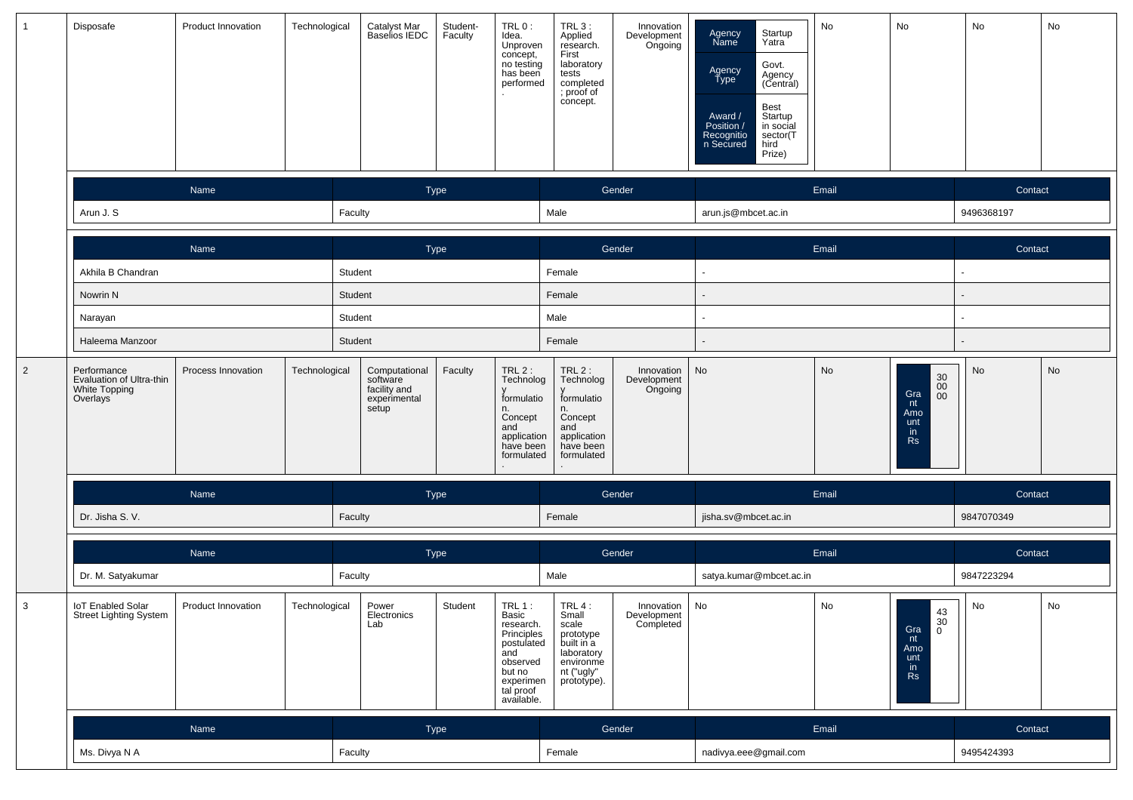| $\mathbf{1}$   | Disposafe                                                                         | Product Innovation | Technological | Catalyst Mar<br>Baselios IEDC                                      | Student-<br>Faculty | TRL 0:<br>Idea.<br>Unproven<br>concept,<br>no testing<br>has been<br>performed                                                  | $TRL3$ :<br>Applied<br>research.<br>First<br>laboratory<br>tests<br>completed<br>; proof of<br>concept.     | Innovation<br>Development<br>Ongoing   | Agency<br>Name<br>Agency<br>Type<br>Award /<br>Position /<br>Recognitio<br>n Secured | No<br>Startup<br>Yatra<br>Govt.<br>Agency<br>(Central)<br>Best<br>Startup<br>in social<br>sector(T<br>hird<br>Prize) | No                                                                                                 | No                       | No |
|----------------|-----------------------------------------------------------------------------------|--------------------|---------------|--------------------------------------------------------------------|---------------------|---------------------------------------------------------------------------------------------------------------------------------|-------------------------------------------------------------------------------------------------------------|----------------------------------------|--------------------------------------------------------------------------------------|----------------------------------------------------------------------------------------------------------------------|----------------------------------------------------------------------------------------------------|--------------------------|----|
|                |                                                                                   | Name               |               | Type                                                               |                     |                                                                                                                                 |                                                                                                             | Gender                                 |                                                                                      | Email                                                                                                                |                                                                                                    | Contact                  |    |
|                | Arun J. S                                                                         |                    |               | Faculty                                                            |                     |                                                                                                                                 | Male                                                                                                        |                                        | arun.js@mbcet.ac.in                                                                  |                                                                                                                      |                                                                                                    | 9496368197               |    |
|                |                                                                                   | Name               |               |                                                                    | Type                |                                                                                                                                 |                                                                                                             | Gender                                 |                                                                                      | Email                                                                                                                |                                                                                                    | Contact                  |    |
|                | Akhila B Chandran                                                                 |                    |               | Student                                                            |                     |                                                                                                                                 | Female                                                                                                      |                                        | $\blacksquare$                                                                       |                                                                                                                      |                                                                                                    | $\overline{\phantom{a}}$ |    |
|                | Nowrin N                                                                          |                    |               | Student                                                            |                     |                                                                                                                                 | Female                                                                                                      |                                        |                                                                                      |                                                                                                                      |                                                                                                    | $\overline{\phantom{a}}$ |    |
|                | Narayan                                                                           |                    |               | Student                                                            |                     |                                                                                                                                 | Male                                                                                                        |                                        |                                                                                      |                                                                                                                      |                                                                                                    | $\blacksquare$           |    |
|                | Haleema Manzoor                                                                   |                    |               | Student                                                            |                     |                                                                                                                                 | Female                                                                                                      |                                        |                                                                                      |                                                                                                                      |                                                                                                    |                          |    |
| $\overline{2}$ | Performance<br>Evaluation of Ultra-thin<br>White Topping<br>Overlays <sup>®</sup> | Process Innovation | Technological | Computational<br>software<br>facility and<br>experimental<br>setup | Faculty             | $TRL2$ :<br>Technolog<br>formulatio<br>n.<br>Concept<br>and<br>application<br>have been<br>formulated                           | $TRL2$ :<br>Technolog<br>formulatio<br>n.<br>Concept<br>and<br>application<br>have been<br>formulated       | Innovation<br>Development<br>Ongoing   | No                                                                                   | <b>No</b>                                                                                                            | $\begin{array}{c} 30 \\ 00 \\ 00 \end{array}$<br>Gra<br>nt<br>Amo<br>unt<br><i>in</i><br><b>Rs</b> | No                       | No |
|                |                                                                                   | Name               |               | Type                                                               |                     |                                                                                                                                 |                                                                                                             | Gender                                 |                                                                                      | Email                                                                                                                |                                                                                                    | Contact                  |    |
|                | Dr. Jisha S. V.                                                                   |                    |               | Faculty                                                            |                     |                                                                                                                                 | Female                                                                                                      |                                        | jisha.sv@mbcet.ac.in                                                                 |                                                                                                                      |                                                                                                    | 9847070349               |    |
|                |                                                                                   | Name               |               | Type                                                               |                     |                                                                                                                                 |                                                                                                             | Gender                                 |                                                                                      | Email                                                                                                                |                                                                                                    | Contact                  |    |
|                | Dr. M. Satyakumar                                                                 |                    |               | Faculty                                                            |                     |                                                                                                                                 | Male                                                                                                        |                                        | satya.kumar@mbcet.ac.in                                                              |                                                                                                                      |                                                                                                    | 9847223294               |    |
| 3              | <b>IoT Enabled Solar</b><br>Street Lighting System                                | Product Innovation | Technological | Power<br>Electronics<br>Lab                                        | Student             | TRL $1:$<br>Basic<br>research.<br>Principles<br>postulated<br>and<br>observed<br>but no<br>experimen<br>tal proof<br>available. | TRL 4:<br>Small<br>scale<br>prototype<br>built in a<br>laboratory<br>environme<br>nt ("ugly"<br>prototype). | Innovation<br>Development<br>Completed | No                                                                                   | No                                                                                                                   | 43<br>30<br>Gra<br>$\overline{0}$<br>nt<br>Amo<br>unt<br>$\frac{in}{RS}$                           | No                       | No |
|                |                                                                                   | Name               |               | Type                                                               |                     |                                                                                                                                 |                                                                                                             | Gender                                 |                                                                                      | Email                                                                                                                |                                                                                                    | Contact                  |    |
|                | Ms. Divya N A                                                                     |                    |               | Faculty                                                            |                     |                                                                                                                                 | Female                                                                                                      |                                        | nadivya.eee@gmail.com                                                                |                                                                                                                      |                                                                                                    | 9495424393               |    |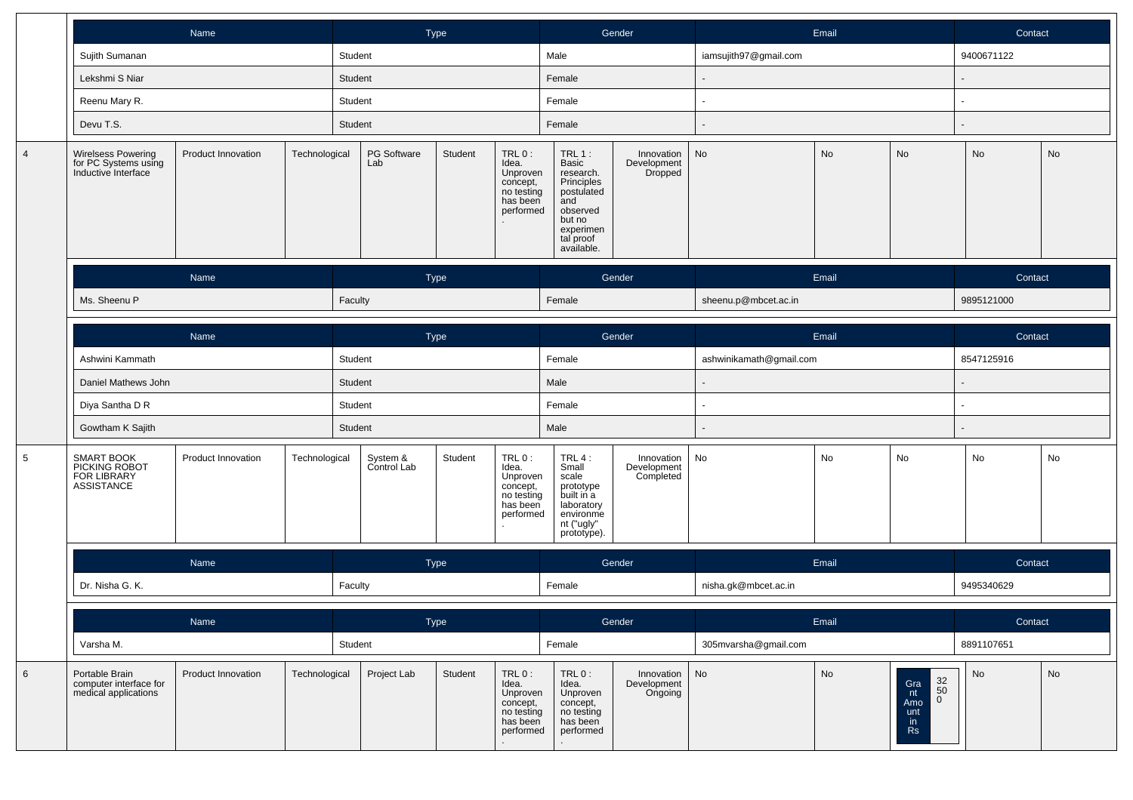|                |                                                                          | Name                                |               |                                                                                                                      | Type    |                                                                                |                                                                                                                                 | Gender                                 |                         | Email |                                                                          | Contact    |    |
|----------------|--------------------------------------------------------------------------|-------------------------------------|---------------|----------------------------------------------------------------------------------------------------------------------|---------|--------------------------------------------------------------------------------|---------------------------------------------------------------------------------------------------------------------------------|----------------------------------------|-------------------------|-------|--------------------------------------------------------------------------|------------|----|
|                | Sujith Sumanan                                                           |                                     |               | Student                                                                                                              |         |                                                                                | Male                                                                                                                            |                                        | iamsujith97@gmail.com   |       |                                                                          | 9400671122 |    |
|                | Lekshmi S Niar                                                           |                                     |               | Student                                                                                                              |         |                                                                                | Female                                                                                                                          |                                        |                         |       |                                                                          |            |    |
|                | Reenu Mary R.                                                            |                                     |               | Student                                                                                                              |         |                                                                                | Female                                                                                                                          |                                        |                         |       |                                                                          | ٠          |    |
|                | Devu T.S.                                                                |                                     |               | Student                                                                                                              |         |                                                                                | Female                                                                                                                          |                                        |                         |       |                                                                          |            |    |
| $\overline{4}$ | <b>Wirelsess Powering</b><br>for PC Systems using<br>Inductive Interface | Product Innovation                  | Technological | PG Software<br>Lab                                                                                                   | Student | TRL 0:<br>Idea.<br>Unproven<br>concept,<br>no testing<br>has been<br>performed | TRL $1:$<br>Basic<br>research.<br>Principles<br>postulated<br>and<br>observed<br>but no<br>experimen<br>tal proof<br>available. | Innovation<br>Development<br>Dropped   | No                      | No    | No                                                                       | No         | No |
|                |                                                                          | Name                                |               |                                                                                                                      | Type    |                                                                                |                                                                                                                                 | Gender                                 |                         | Email |                                                                          | Contact    |    |
|                | Ms. Sheenu P                                                             |                                     |               | Faculty                                                                                                              |         |                                                                                | Female                                                                                                                          |                                        | sheenu.p@mbcet.ac.in    |       |                                                                          | 9895121000 |    |
|                |                                                                          | Name                                |               |                                                                                                                      | Type    |                                                                                |                                                                                                                                 | Gender                                 |                         | Email |                                                                          | Contact    |    |
|                | Ashwini Kammath                                                          |                                     |               |                                                                                                                      |         |                                                                                | Female                                                                                                                          |                                        | ashwinikamath@gmail.com |       |                                                                          | 8547125916 |    |
|                | Daniel Mathews John                                                      |                                     |               | Student                                                                                                              |         |                                                                                | Male                                                                                                                            |                                        |                         |       |                                                                          |            |    |
|                | Diya Santha D R                                                          |                                     |               | Student                                                                                                              |         | Female                                                                         |                                                                                                                                 |                                        |                         |       |                                                                          |            |    |
|                | Gowtham K Sajith                                                         |                                     |               | Student                                                                                                              |         | Male                                                                           |                                                                                                                                 |                                        |                         |       |                                                                          |            |    |
| 5              | SMART BOOK<br>PICKING ROBOT<br>FOR LIBRARY<br><b>ASSISTANCE</b>          | Product Innovation<br>Technological |               | TRL 0:<br>System &<br>Student<br>Control Lab<br>Idea.<br>Unproven<br>concept,<br>no testing<br>has been<br>performed |         |                                                                                | $TRL4$ :<br>Small<br>scale<br>prototype<br>built in a<br>laboratory<br>environme<br>nt ("ugly"<br>prototype).                   | Innovation<br>Development<br>Completed | No                      | No    | No                                                                       | No         | No |
|                |                                                                          | Name                                |               |                                                                                                                      | Type    |                                                                                |                                                                                                                                 | Gender                                 |                         | Email |                                                                          | Contact    |    |
|                | Dr. Nisha G. K.                                                          |                                     |               | Faculty                                                                                                              |         |                                                                                | Female                                                                                                                          |                                        | nisha.gk@mbcet.ac.in    |       |                                                                          | 9495340629 |    |
|                |                                                                          | Name                                |               |                                                                                                                      | Type    |                                                                                |                                                                                                                                 | Gender                                 |                         | Email |                                                                          | Contact    |    |
|                | Varsha M.                                                                |                                     |               | Student                                                                                                              |         |                                                                                | Female                                                                                                                          |                                        | 305mvarsha@gmail.com    |       |                                                                          | 8891107651 |    |
| 6              | Portable Brain<br>computer interface for<br>medical applications         | Product Innovation                  | Technological | Project Lab                                                                                                          | Student | TRL 0:<br>Idea.<br>Unproven<br>concept,<br>no testing<br>has been<br>performed | $TRL0$ :<br>Idea.<br>Unproven<br>concept,<br>no testing<br>has been<br>performed                                                | Innovation<br>Development<br>Ongoing   | No                      | No    | $\frac{32}{50}$<br>Gra<br>nt<br>$\overline{0}$<br>Amo<br>unt<br>in<br>Rs | No         | No |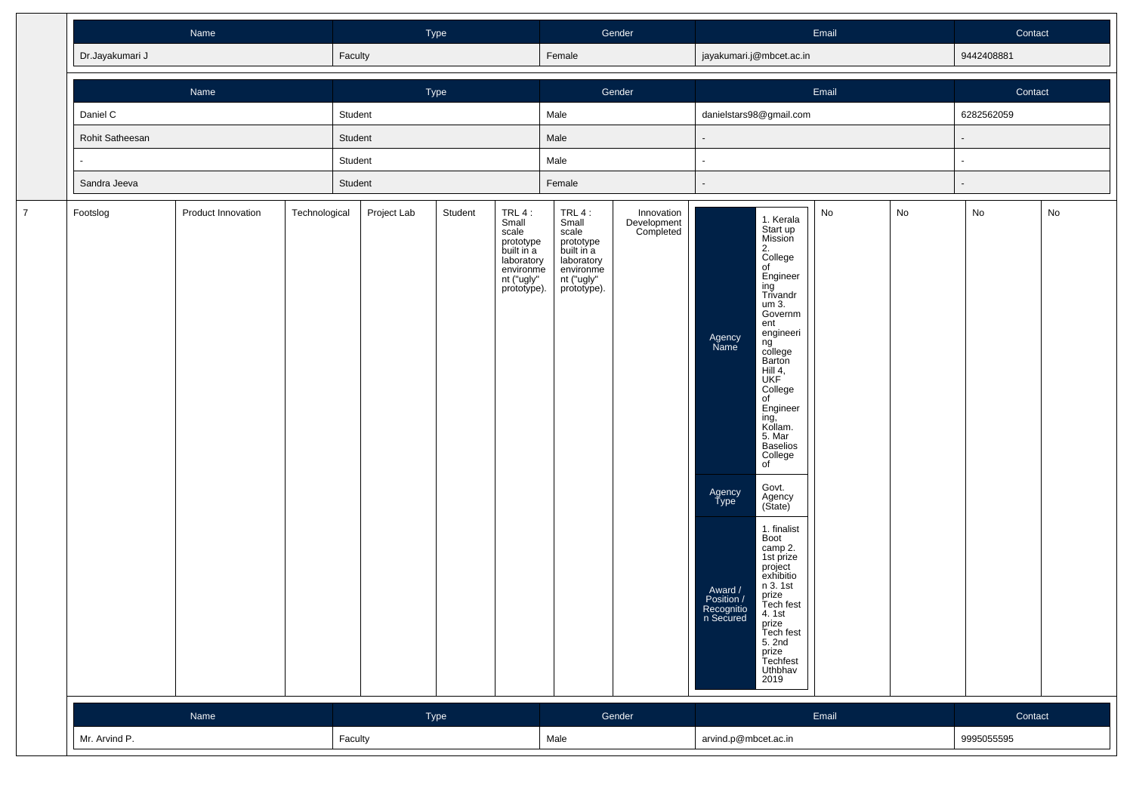|                |                 |                    | Type<br>Faculty |         |             |         | Gender                                                                                                        |                                                                                                             | Email                                  |                                                                                      |                                                                                                                                                                                                                                                                                                                                                                                                                                                                                                               |       | Contact |                          |    |
|----------------|-----------------|--------------------|-----------------|---------|-------------|---------|---------------------------------------------------------------------------------------------------------------|-------------------------------------------------------------------------------------------------------------|----------------------------------------|--------------------------------------------------------------------------------------|---------------------------------------------------------------------------------------------------------------------------------------------------------------------------------------------------------------------------------------------------------------------------------------------------------------------------------------------------------------------------------------------------------------------------------------------------------------------------------------------------------------|-------|---------|--------------------------|----|
|                | Dr.Jayakumari J |                    |                 |         |             |         |                                                                                                               | Female                                                                                                      |                                        |                                                                                      | jayakumari.j@mbcet.ac.in                                                                                                                                                                                                                                                                                                                                                                                                                                                                                      |       |         | 9442408881               |    |
|                |                 | Name               |                 |         | Type        |         |                                                                                                               |                                                                                                             | Gender                                 |                                                                                      |                                                                                                                                                                                                                                                                                                                                                                                                                                                                                                               | Email |         | Contact                  |    |
|                | Daniel C        |                    |                 | Student |             |         |                                                                                                               | Male                                                                                                        |                                        |                                                                                      | danielstars98@gmail.com                                                                                                                                                                                                                                                                                                                                                                                                                                                                                       |       |         | 6282562059               |    |
|                | Rohit Satheesan |                    |                 | Student |             |         |                                                                                                               | Male                                                                                                        |                                        |                                                                                      |                                                                                                                                                                                                                                                                                                                                                                                                                                                                                                               |       |         | $\overline{\phantom{a}}$ |    |
|                |                 |                    |                 | Student |             |         |                                                                                                               | Male                                                                                                        |                                        |                                                                                      |                                                                                                                                                                                                                                                                                                                                                                                                                                                                                                               |       |         | $\blacksquare$           |    |
|                | Sandra Jeeva    |                    |                 | Student |             |         |                                                                                                               | Female                                                                                                      |                                        |                                                                                      |                                                                                                                                                                                                                                                                                                                                                                                                                                                                                                               |       |         | $\overline{\phantom{a}}$ |    |
| $\overline{7}$ | Footslog        | Product Innovation | Technological   |         | Project Lab | Student | $TRL4$ :<br>Small<br>scale<br>prototype<br>built in a<br>laboratory<br>environme<br>nt ("ugly"<br>prototype). | TRL 4:<br>Small<br>scale<br>prototype<br>built in a<br>laboratory<br>environme<br>nt ("ugly"<br>prototype). | Innovation<br>Development<br>Completed | Agency<br>Name<br>Agency<br>Type<br>Award /<br>Position /<br>Recognitio<br>n Secured | 1. Kerala<br>Start up<br>Mission<br>2.<br>College<br>of<br>Engineer<br>ing<br>Trivandr<br>um 3.<br>Governm<br>ent<br>engineeri<br>ng<br>college<br>Barton<br>Hill 4,<br>UKF<br>College<br>of<br>Engineer<br>ing,̃<br>Kollam.<br>rtonam.<br>5. Mar<br>Baselios<br>College<br>of<br>Govt.<br>Agency<br>(State)<br>1. finalist<br>Boot<br>camp 2.<br>1st prize<br>project<br>exhibitio<br>n 3.1st<br>prize<br>Tech fest<br>4.1st<br>rice<br>Prize<br>Tech fest<br>5. 2nd<br>prize<br>Techfest<br>Uthbhav<br>2019 | No    | No      | No                       | No |
|                |                 | Name               |                 |         | Type        |         |                                                                                                               |                                                                                                             | Gender                                 |                                                                                      |                                                                                                                                                                                                                                                                                                                                                                                                                                                                                                               | Email |         | Contact                  |    |
|                | Mr. Arvind P.   |                    |                 |         | Faculty     |         |                                                                                                               | Male                                                                                                        |                                        | arvind.p@mbcet.ac.in                                                                 |                                                                                                                                                                                                                                                                                                                                                                                                                                                                                                               |       |         | 9995055595               |    |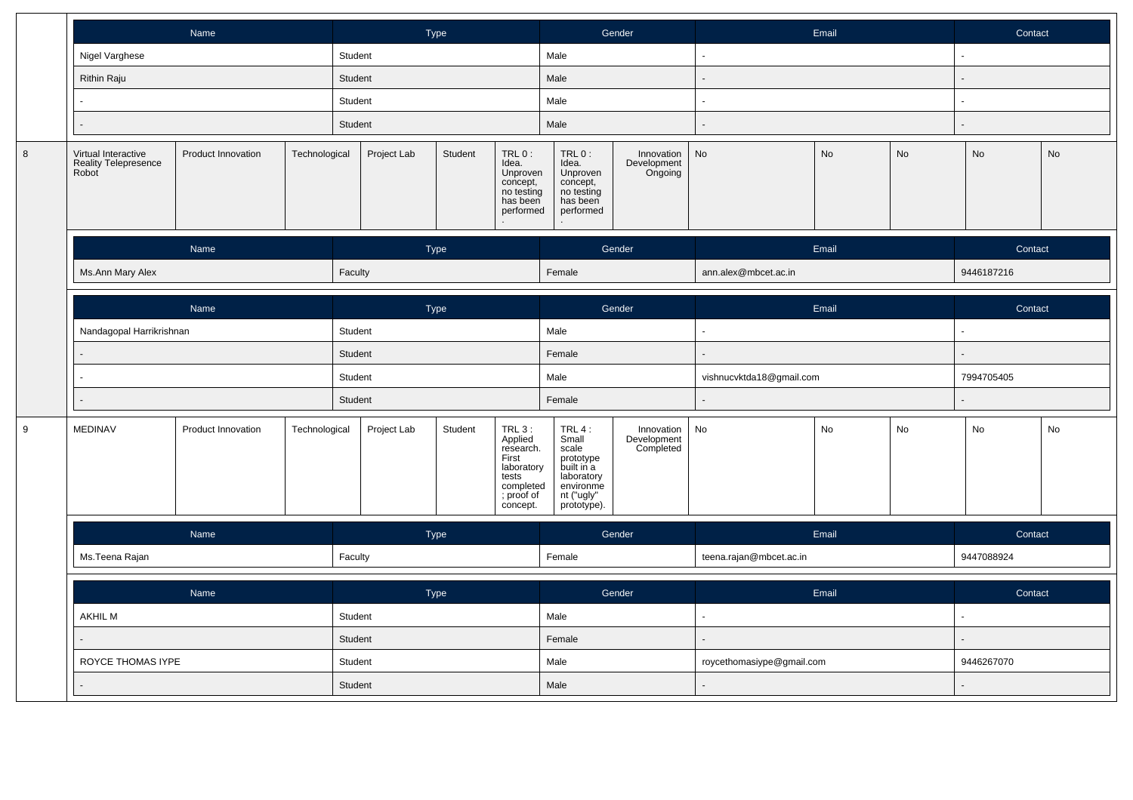|   | Name                                                        |                    |               |                    | Type        |         |                                                                                                        |                                                                                                             | Gender                                 |                           | Email |            | Contact                   |    |  |
|---|-------------------------------------------------------------|--------------------|---------------|--------------------|-------------|---------|--------------------------------------------------------------------------------------------------------|-------------------------------------------------------------------------------------------------------------|----------------------------------------|---------------------------|-------|------------|---------------------------|----|--|
|   | Nigel Varghese                                              |                    |               | Student            |             |         |                                                                                                        | Male                                                                                                        |                                        |                           |       |            |                           |    |  |
|   | <b>Rithin Raju</b>                                          |                    |               | Student            |             |         |                                                                                                        | Male                                                                                                        |                                        |                           |       |            |                           |    |  |
|   |                                                             |                    |               | Student            |             |         |                                                                                                        | Male                                                                                                        |                                        |                           |       |            |                           |    |  |
|   |                                                             |                    |               | Student            |             |         | Male                                                                                                   |                                                                                                             | ÷.                                     |                           |       |            |                           |    |  |
| 8 | Virtual Interactive<br><b>Reality Telepresence</b><br>Robot | Product Innovation | Technological |                    | Project Lab | Student | TRL 0:<br>Idea.<br>Unproven<br>concept,<br>no testing<br>has been<br>performed                         | TRL 0:<br>Idea.<br>Unproven<br>concept,<br>no testing<br>has been<br>performed                              | Innovation<br>Development<br>Ongoing   | No                        | No    | No         | No                        | No |  |
|   |                                                             | Name               |               | Type               |             |         | Gender                                                                                                 |                                                                                                             |                                        | Email                     |       | Contact    |                           |    |  |
|   | Ms.Ann Mary Alex                                            |                    |               | Faculty            |             |         |                                                                                                        | Female                                                                                                      |                                        | ann.alex@mbcet.ac.in      |       |            | 9446187216                |    |  |
|   |                                                             | Name               |               |                    | Type        |         |                                                                                                        |                                                                                                             | Gender                                 |                           | Email |            |                           |    |  |
|   | Nandagopal Harrikrishnan                                    |                    |               | Student            |             |         |                                                                                                        | Male                                                                                                        |                                        | ä,                        |       |            | Contact<br>$\overline{a}$ |    |  |
|   |                                                             |                    |               | Student<br>Student |             |         | Female                                                                                                 |                                                                                                             |                                        |                           |       |            |                           |    |  |
|   |                                                             |                    |               |                    |             |         | Male                                                                                                   |                                                                                                             | vishnucvktda18@gmail.com               |                           |       | 7994705405 |                           |    |  |
|   |                                                             |                    |               | Student            |             |         | Female                                                                                                 |                                                                                                             | $\overline{\phantom{a}}$               |                           |       |            |                           |    |  |
| 9 | <b>MEDINAV</b>                                              | Product Innovation | Technological |                    | Project Lab | Student | TRL 3 :<br>Applied<br>research.<br>First<br>laboratory<br>tests<br>completed<br>; proof of<br>concept. | TRL 4:<br>Small<br>scale<br>prototype<br>built in a<br>laboratory<br>environme<br>nt ("ugly"<br>prototype). | Innovation<br>Development<br>Completed | No                        | No    | No         | No                        | No |  |
|   |                                                             | Name               |               |                    | Type        |         |                                                                                                        | Gender                                                                                                      |                                        | Email                     |       |            | Contact                   |    |  |
|   | Ms. Teena Rajan                                             |                    |               | Faculty            |             |         |                                                                                                        | Female                                                                                                      |                                        | teena.rajan@mbcet.ac.in   |       |            | 9447088924                |    |  |
|   |                                                             | Name               |               |                    | Type        |         |                                                                                                        |                                                                                                             | Gender                                 | Email                     |       |            | Contact                   |    |  |
|   | <b>AKHIL M</b>                                              |                    |               | Student            |             |         |                                                                                                        | Male                                                                                                        |                                        |                           |       |            |                           |    |  |
|   |                                                             |                    |               | Student            |             |         |                                                                                                        | Female                                                                                                      |                                        |                           |       |            |                           |    |  |
|   | ROYCE THOMAS IYPE                                           |                    |               | Student            |             |         |                                                                                                        | Male                                                                                                        |                                        | roycethomasiype@gmail.com |       |            | 9446267070                |    |  |
|   |                                                             |                    |               | Student            |             |         | Male                                                                                                   |                                                                                                             |                                        |                           |       |            |                           |    |  |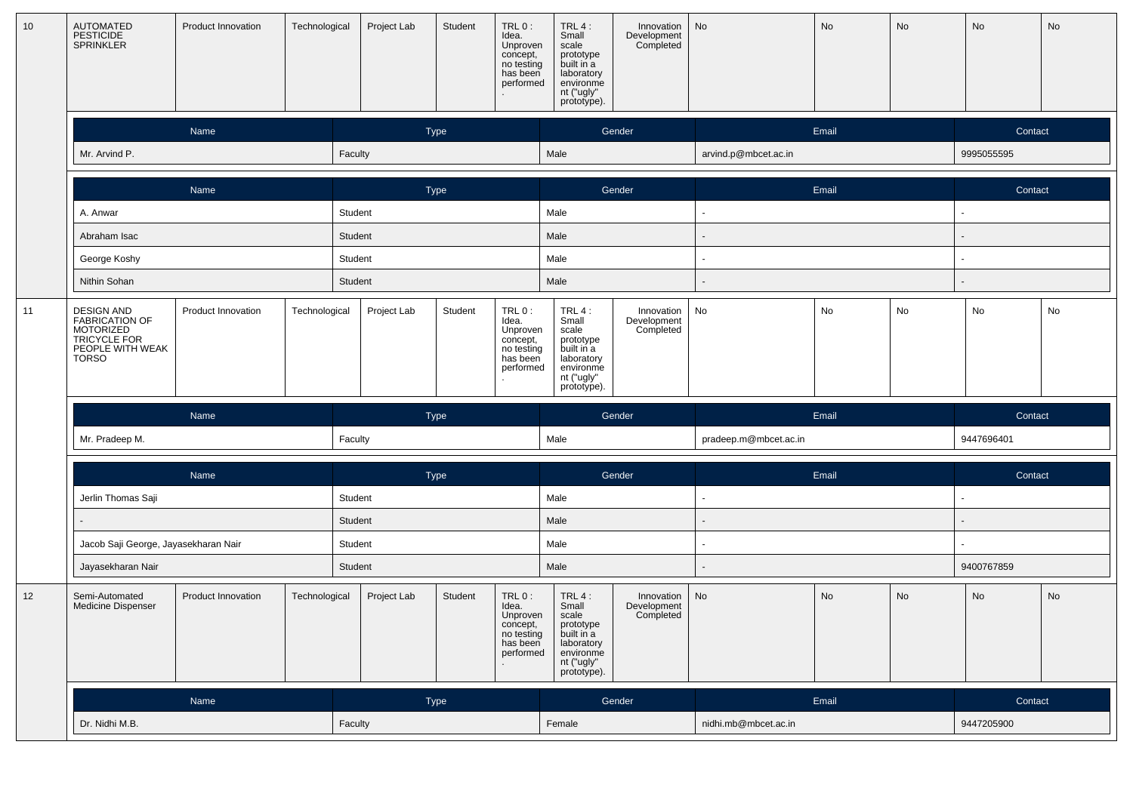| 10 <sup>1</sup> | AUTOMATED<br>PESTICIDE<br><b>SPRINKLER</b>                                                    | Product Innovation | Technological | Project Lab | Student     | TRL 0:<br>Idea.<br>Unproven<br>concept,<br>no testing<br>has been<br>performed | TRL 4:<br>Small<br>scale<br>prototype<br>built in a<br>laboratory<br>environme<br>nt ("ugly"<br>prototype). | Innovation<br>Development<br>Completed | No                    | No    | No | No         | No |
|-----------------|-----------------------------------------------------------------------------------------------|--------------------|---------------|-------------|-------------|--------------------------------------------------------------------------------|-------------------------------------------------------------------------------------------------------------|----------------------------------------|-----------------------|-------|----|------------|----|
|                 |                                                                                               | Name               |               |             | <b>Type</b> |                                                                                |                                                                                                             | Gender                                 |                       | Email |    | Contact    |    |
|                 | Mr. Arvind P.                                                                                 |                    |               | Faculty     |             |                                                                                | Male                                                                                                        |                                        | arvind.p@mbcet.ac.in  |       |    | 9995055595 |    |
|                 |                                                                                               | Name               |               |             | Type        |                                                                                |                                                                                                             | Gender                                 |                       | Email |    | Contact    |    |
|                 | A. Anwar                                                                                      |                    |               | Student     |             |                                                                                | Male                                                                                                        |                                        | $\blacksquare$        |       |    | ٠          |    |
|                 | Abraham Isac                                                                                  |                    |               | Student     |             |                                                                                | Male                                                                                                        |                                        | $\blacksquare$        |       |    |            |    |
|                 | George Koshy                                                                                  |                    |               | Student     |             |                                                                                | Male                                                                                                        |                                        | $\blacksquare$        |       |    |            |    |
|                 | Nithin Sohan                                                                                  |                    |               | Student     |             |                                                                                | Male                                                                                                        |                                        |                       |       |    |            |    |
| 11              | <b>DESIGN AND</b><br>FABRICATION OF<br>MOTORIZED<br>TRICYCLE FOR<br>PEOPLE WITH WEAK<br>TORSO | Product Innovation | Technological | Project Lab | Student     | TRL 0:<br>Idea.<br>Unproven<br>concept,<br>no testing<br>has been<br>performed | TRL 4:<br>Small<br>scale<br>prototype<br>built in a<br>laboratory<br>environme<br>nt ("ugly"                | Innovation<br>Development<br>Completed | No                    | No    | No | No         | No |
|                 |                                                                                               |                    |               |             |             |                                                                                | prototype).                                                                                                 |                                        |                       |       |    |            |    |
|                 |                                                                                               | Name               |               |             | Type        |                                                                                |                                                                                                             | Gender                                 |                       | Email |    | Contact    |    |
|                 | Mr. Pradeep M.                                                                                |                    |               | Faculty     |             |                                                                                | Male                                                                                                        |                                        | pradeep.m@mbcet.ac.in |       |    | 9447696401 |    |
|                 |                                                                                               |                    |               |             |             |                                                                                |                                                                                                             |                                        |                       |       |    |            |    |
|                 | Jerlin Thomas Saji                                                                            | Name               |               | Student     | Type        |                                                                                | Male                                                                                                        | Gender                                 | ٠                     | Email |    | Contact    |    |
|                 |                                                                                               |                    |               | Student     |             |                                                                                | Male                                                                                                        |                                        |                       |       |    |            |    |
|                 | Jacob Saji George, Jayasekharan Nair                                                          |                    |               | Student     |             |                                                                                | Male                                                                                                        |                                        | ٠                     |       |    |            |    |
|                 | Jayasekharan Nair                                                                             |                    |               | Student     |             |                                                                                | Male                                                                                                        |                                        |                       |       |    | 9400767859 |    |
| 12              | Semi-Automated<br>Medicine Dispenser                                                          | Product Innovation | Technological | Project Lab | Student     | TRL 0:<br>Idea.<br>Unproven<br>concept,<br>no testing<br>has been<br>performed | TRL 4:<br>Small<br>scale<br>prototype<br>built in a<br>laboratory<br>environme<br>nt ("ugly"<br>prototype). | Innovation<br>Development<br>Completed | No                    | No    | No | No         | No |
|                 |                                                                                               | Name               |               |             | Type        |                                                                                |                                                                                                             | Gender                                 |                       | Email |    | Contact    |    |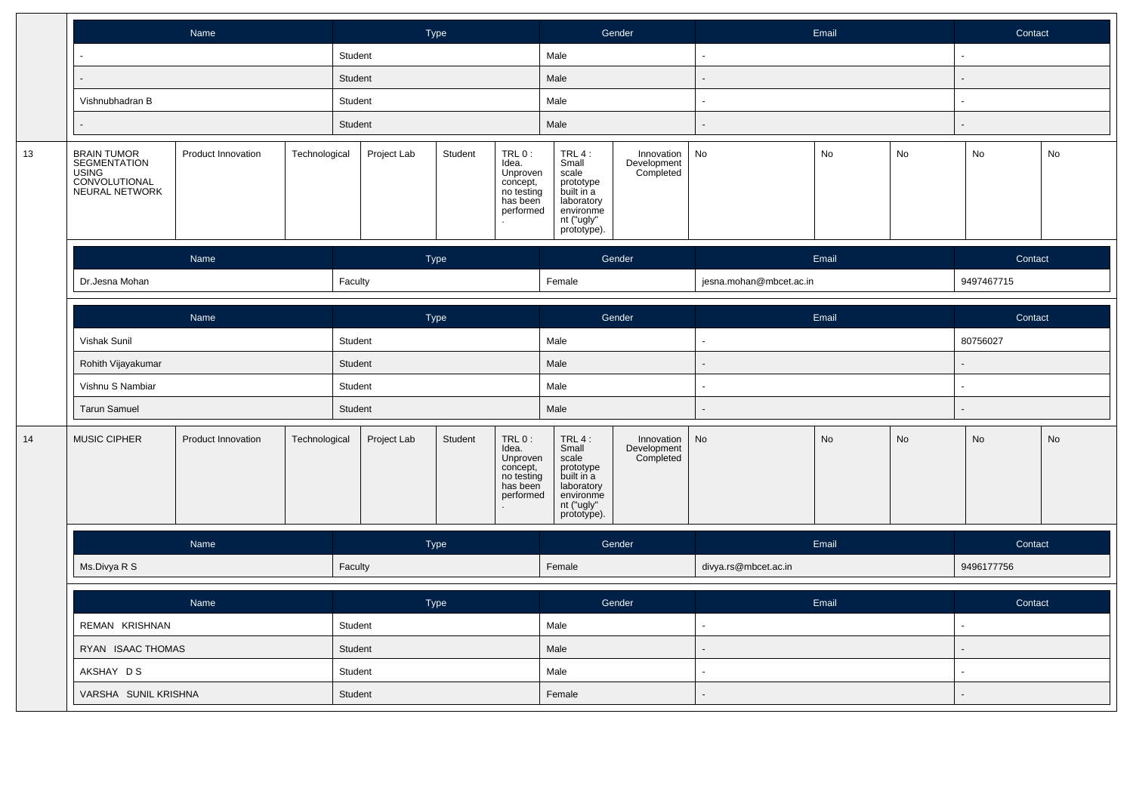|    |                                                                         | Name               |               |                               | Type        |                                                                                         |                                                                                                               | Gender                                 |                                            | Email |    | Contact    |    |
|----|-------------------------------------------------------------------------|--------------------|---------------|-------------------------------|-------------|-----------------------------------------------------------------------------------------|---------------------------------------------------------------------------------------------------------------|----------------------------------------|--------------------------------------------|-------|----|------------|----|
|    |                                                                         |                    |               | Student                       |             |                                                                                         | Male                                                                                                          |                                        |                                            |       |    |            |    |
|    |                                                                         |                    |               | Student                       |             |                                                                                         | Male                                                                                                          |                                        |                                            |       |    |            |    |
|    | Vishnubhadran B                                                         |                    |               | Student                       |             |                                                                                         | Male                                                                                                          |                                        | $\tilde{\phantom{a}}$                      |       |    | $\sim$     |    |
|    |                                                                         |                    |               | Student                       |             |                                                                                         | Male                                                                                                          |                                        | L.                                         |       |    |            |    |
| 13 | BRAIN TUMOR<br>SEGMENTATION<br>USING<br>CONVOLUTIONAL<br>NEURAL NETWORK | Product Innovation | Technological | Project Lab                   | Student     | TRL 0:<br>INCO.<br>Idea.<br>Unproven<br>concept,<br>no testing<br>has been<br>performed | TRL 4 :<br>Small<br>scale<br>prototype<br>built in a<br>laboratory<br>environme<br>nt ("ugly"<br>prototype).  | Innovation<br>Development<br>Completed | No                                         | No    | No | No         | No |
|    |                                                                         | Name               |               | Type                          |             |                                                                                         | Gender                                                                                                        |                                        | Email                                      |       |    | Contact    |    |
|    | Dr.Jesna Mohan                                                          |                    |               | Faculty                       |             |                                                                                         | Female                                                                                                        |                                        | jesna.mohan@mbcet.ac.in                    |       |    | 9497467715 |    |
|    |                                                                         | Name               |               |                               | Type        |                                                                                         |                                                                                                               | Gender                                 |                                            | Email |    | Contact    |    |
|    | Vishak Sunil                                                            |                    |               | Student                       |             |                                                                                         | Male                                                                                                          |                                        |                                            |       |    | 80756027   |    |
|    | Rohith Vijayakumar                                                      |                    |               | Student<br>Student<br>Student |             |                                                                                         | Male<br>Male<br>Male                                                                                          |                                        | $\overline{a}$<br>$\sim$<br>$\overline{a}$ |       |    |            |    |
|    | Vishnu S Nambiar                                                        |                    |               |                               |             |                                                                                         |                                                                                                               |                                        |                                            |       |    | $\sim$     |    |
|    | <b>Tarun Samuel</b>                                                     |                    |               |                               |             |                                                                                         |                                                                                                               |                                        |                                            |       |    |            |    |
| 14 | MUSIC CIPHER                                                            | Product Innovation | Technological | Project Lab                   | Student     | $TRL0$ :<br>Idea.<br>Unproven<br>concept,<br>no testing<br>has been<br>performed        | $TRL4$ :<br>Small<br>scale<br>prototype<br>built in a<br>laboratory<br>environme<br>nt ("ugly"<br>prototype). | Innovation<br>Development<br>Completed | $\operatorname{\mathsf{No}}$               | No    | No | No         | No |
|    |                                                                         | Name               |               |                               | Type        |                                                                                         | Gender                                                                                                        |                                        | Email                                      |       |    | Contact    |    |
|    | Ms.Divya R S                                                            |                    |               | Faculty                       |             |                                                                                         | Female                                                                                                        |                                        | divya.rs@mbcet.ac.in                       |       |    | 9496177756 |    |
|    |                                                                         | Name               |               |                               | <b>Type</b> |                                                                                         |                                                                                                               | Gender                                 |                                            | Email |    | Contact    |    |
|    | REMAN KRISHNAN                                                          |                    |               | Student                       |             |                                                                                         | Male                                                                                                          |                                        | ä,<br>$\blacksquare$                       |       |    | $\sim$     |    |
|    | RYAN ISAAC THOMAS                                                       |                    |               | Student                       |             |                                                                                         | Male                                                                                                          |                                        |                                            |       |    |            |    |
|    | AKSHAY DS                                                               |                    |               | Student                       |             |                                                                                         | Male                                                                                                          |                                        | $\sim$                                     |       |    | $\sim$     |    |
|    | VARSHA SUNIL KRISHNA                                                    |                    |               | Student                       |             |                                                                                         | Female                                                                                                        |                                        |                                            |       |    |            |    |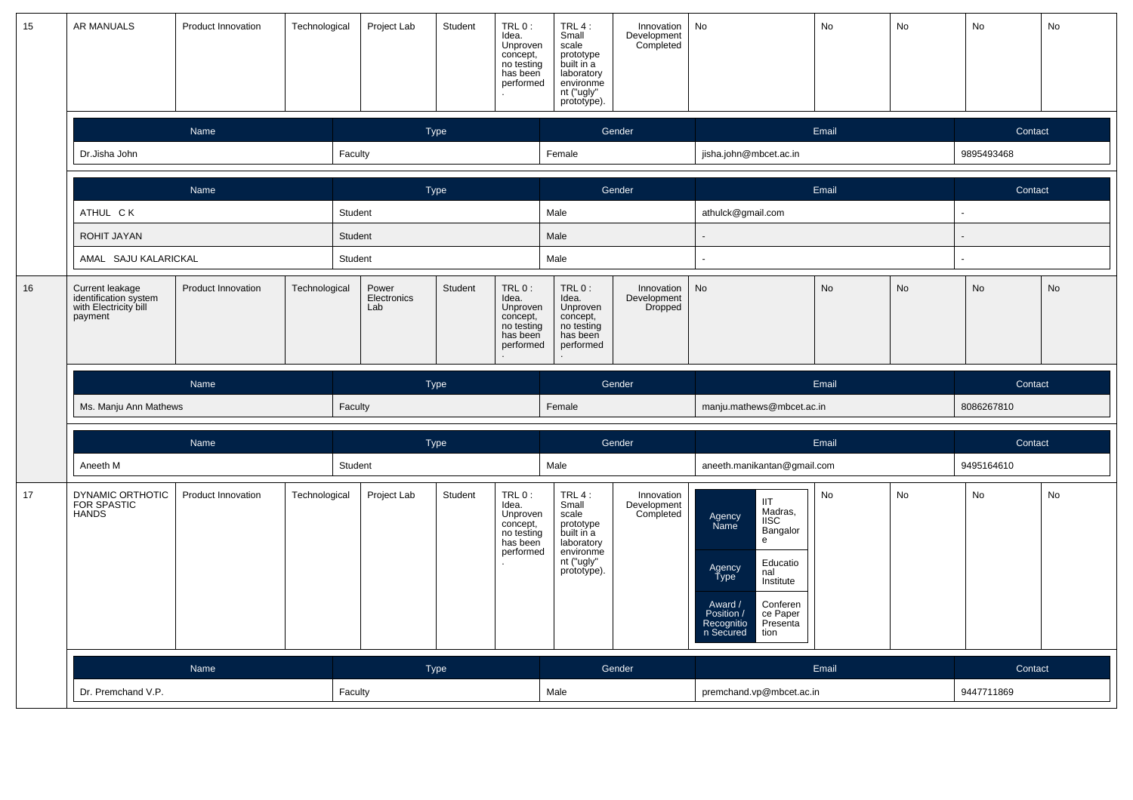| 15 | AR MANUALS                                                                   | Product Innovation        | Technological | Project Lab                 | Student     | TRL 0:<br>Idea.<br>Unproven<br>concept,<br>no testing<br>has been<br>performed | $IRL0$ :<br>Small<br>scale<br>prototype<br>built in a<br>laboratory<br>environme<br>nt ("ugly"<br>prototype). | Innovation<br>Development<br>Completed | No                                                                                                                                                                                                                        | <b>No</b> | <b>No</b> | No         | No        |
|----|------------------------------------------------------------------------------|---------------------------|---------------|-----------------------------|-------------|--------------------------------------------------------------------------------|---------------------------------------------------------------------------------------------------------------|----------------------------------------|---------------------------------------------------------------------------------------------------------------------------------------------------------------------------------------------------------------------------|-----------|-----------|------------|-----------|
|    |                                                                              | Name                      |               |                             | <b>Type</b> |                                                                                |                                                                                                               | Gender                                 |                                                                                                                                                                                                                           | Email     |           | Contact    |           |
|    | Dr.Jisha John                                                                |                           |               | Faculty                     |             |                                                                                | Female                                                                                                        |                                        | jisha.john@mbcet.ac.in                                                                                                                                                                                                    |           |           | 9895493468 |           |
|    |                                                                              | Name                      |               |                             | <b>Type</b> |                                                                                |                                                                                                               | Gender                                 |                                                                                                                                                                                                                           | Email     |           | Contact    |           |
|    | ATHUL CK                                                                     |                           |               | Student                     |             |                                                                                | Male                                                                                                          |                                        | athulck@gmail.com                                                                                                                                                                                                         |           |           |            |           |
|    | ROHIT JAYAN                                                                  |                           |               | Student                     |             |                                                                                | Male                                                                                                          |                                        |                                                                                                                                                                                                                           |           |           |            |           |
|    | AMAL SAJU KALARICKAL                                                         |                           |               | Student                     |             |                                                                                | Male                                                                                                          |                                        |                                                                                                                                                                                                                           |           |           |            |           |
| 16 | Current leakage<br>identification system<br>with Electricity bill<br>payment | <b>Product Innovation</b> | Technological | Power<br>Electronics<br>Lab | Student     | TRL 0:<br>Idea.<br>Unproven<br>concept,<br>no testing<br>has been<br>performed | $TRL0$ :<br>Idea.<br>Unproven<br>concept,<br>no testing<br>has been<br>performed                              | Innovation<br>Development<br>Dropped   | <b>No</b>                                                                                                                                                                                                                 | <b>No</b> | No        | <b>No</b>  | <b>No</b> |
|    |                                                                              |                           |               |                             |             |                                                                                |                                                                                                               |                                        |                                                                                                                                                                                                                           |           |           |            |           |
|    |                                                                              | Name                      |               |                             | Type        |                                                                                |                                                                                                               | Gender                                 |                                                                                                                                                                                                                           | Email     |           | Contact    |           |
|    | Ms. Manju Ann Mathews                                                        |                           |               | Faculty                     |             |                                                                                | Female                                                                                                        |                                        | manju.mathews@mbcet.ac.in                                                                                                                                                                                                 |           |           | 8086267810 |           |
|    |                                                                              | Name                      |               |                             | <b>Type</b> |                                                                                |                                                                                                               | Gender                                 |                                                                                                                                                                                                                           | Email     |           | Contact    |           |
|    | Aneeth M                                                                     |                           |               | Student                     |             |                                                                                | Male                                                                                                          |                                        | aneeth.manikantan@gmail.com                                                                                                                                                                                               |           |           | 9495164610 |           |
| 17 | DYNAMIC ORTHOTIC<br>FOR SPASTIC<br><b>HANDS</b>                              | Product Innovation        | Technological | Project Lab                 | Student     | TRL 0:<br>Idea.<br>Unproven<br>concept.<br>no testing<br>has been<br>performed | TRL $4:$<br>Small<br>scale<br>prototype<br>built in a<br>laboratory<br>environme<br>nt ("ugly"<br>prototype). | Innovation<br>Development<br>Completed | <b>IIT</b><br>Madras,<br>Agency<br>Name<br><b>IISC</b><br>Bangalor<br>e<br>Educatio<br>Agency<br>Type<br>nal<br>Institute<br>Award /<br>Position /<br>Conferen<br>ce Paper<br>Presenta<br>Recognitio<br>n Secured<br>tion | No        | No        | No         | No        |
|    |                                                                              | Name                      |               |                             | Type        |                                                                                |                                                                                                               | Gender                                 |                                                                                                                                                                                                                           | Email     |           | Contact    |           |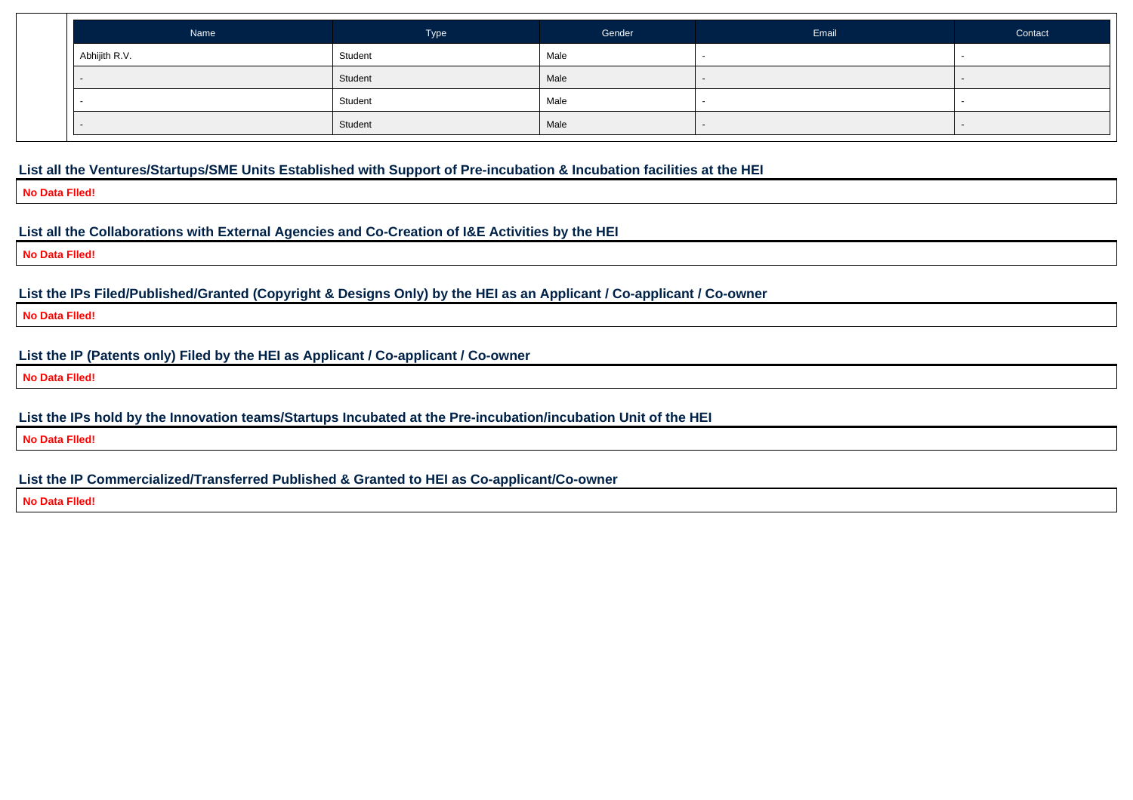| Name          | Type    | Gender | Email                    | Contact |
|---------------|---------|--------|--------------------------|---------|
| Abhijith R.V. | Student | Male   | $\sim$                   |         |
|               | Student | Male   | $\overline{\phantom{a}}$ |         |
|               | Student | Male   |                          |         |
|               | Student | Male   |                          |         |

#### **List all the Ventures/Startups/SME Units Established with Support of Pre-incubation & Incubation facilities at the HEI**

**No Data Flled!**

#### **List all the Collaborations with External Agencies and Co-Creation of I&E Activities by the HEI**

**No Data Flled!**

#### **List the IPs Filed/Published/Granted (Copyright & Designs Only) by the HEI as an Applicant / Co-applicant / Co-owner**

**No Data Flled!**

#### **List the IP (Patents only) Filed by the HEI as Applicant / Co-applicant / Co-owner**

**No Data Flled!**

#### **List the IPs hold by the Innovation teams/Startups Incubated at the Pre-incubation/incubation Unit of the HEI**

**No Data Flled!**

#### **List the IP Commercialized/Transferred Published & Granted to HEI as Co-applicant/Co-owner**

**No Data Flled!**